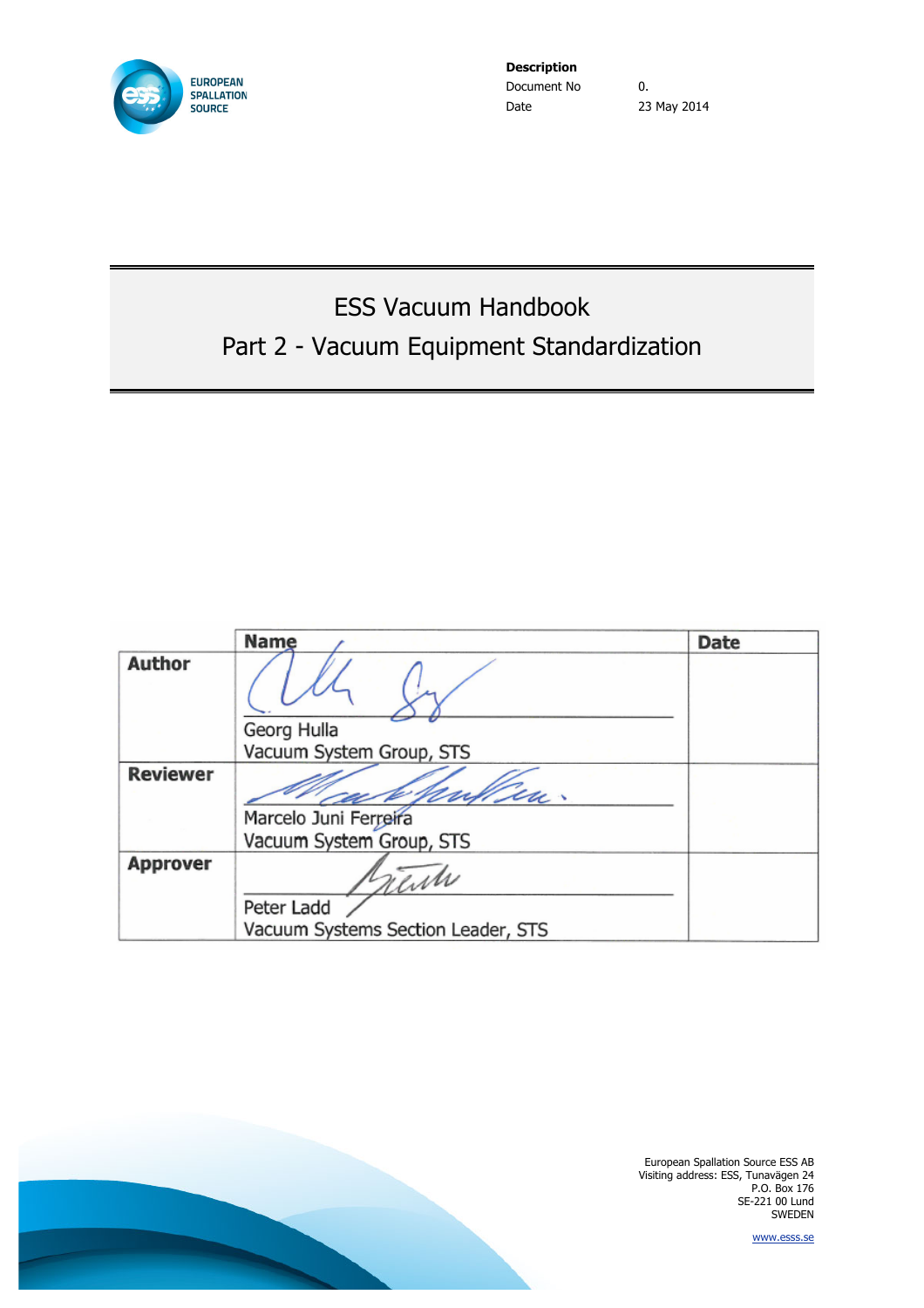

**Description** Document No 0. Date 23 May 2014

# ESS Vacuum Handbook Part 2 - Vacuum Equipment Standardization

|                          | <b>Name</b>                        | Date |
|--------------------------|------------------------------------|------|
| <b>Author</b>            |                                    |      |
|                          | Georg Hulla                        |      |
|                          | Vacuum System Group, STS           |      |
| <b>Reviewer</b>          | tu.                                |      |
|                          | Marcelo Juni Ferreira              |      |
|                          | Vacuum System Group, STS           |      |
| <b>Approver</b><br>rente |                                    |      |
|                          | Peter Ladd                         |      |
|                          | Vacuum Systems Section Leader, STS |      |

European Spallation Source ESS AB Visiting address: ESS, Tunavägen 24 P.O. Box 176 SE-221 00 Lund SWEDEN

www.esss.se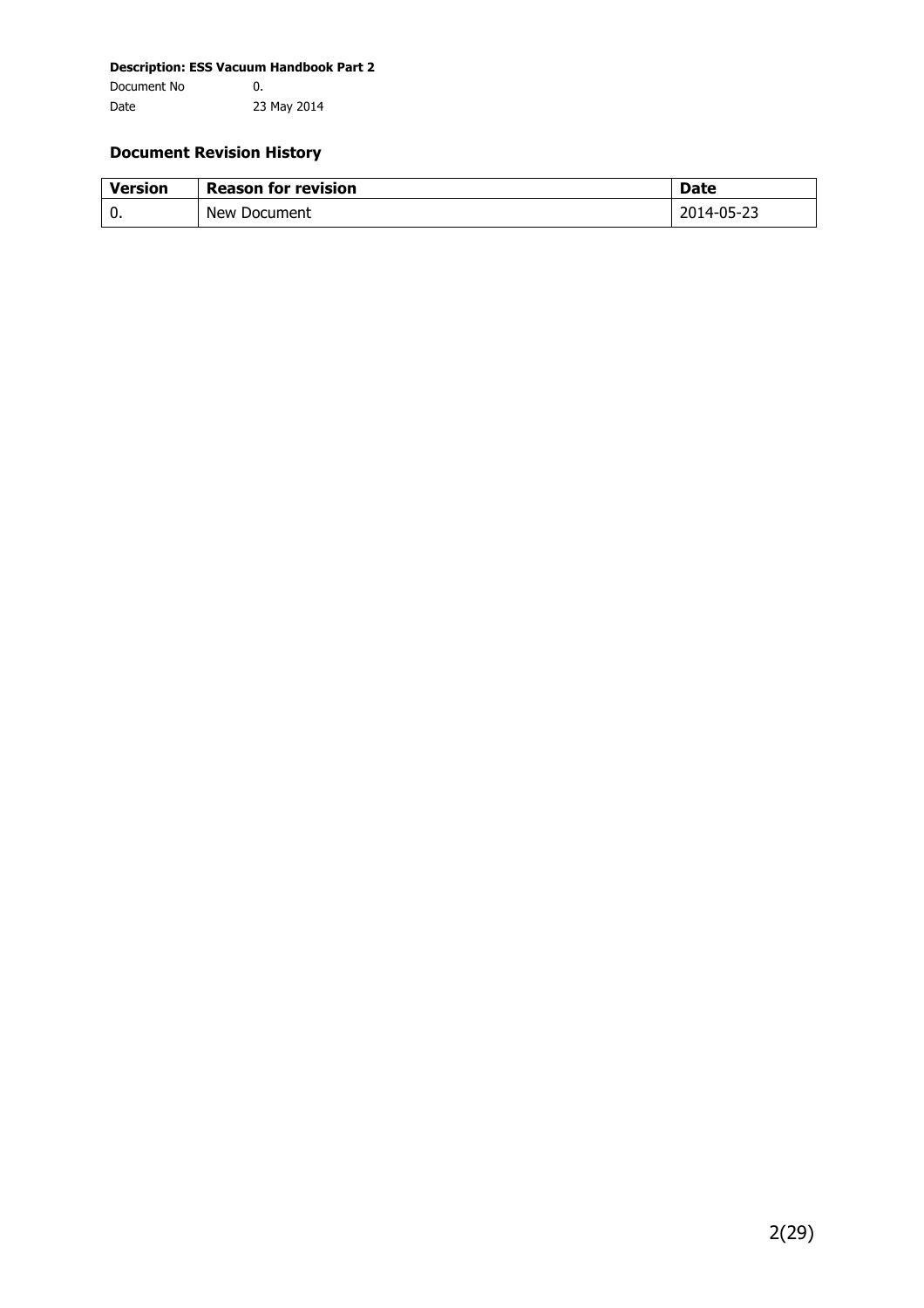#### **Document Revision History**

| <b>Version</b> | <b>Reason for revision</b> | <b>Date</b> |
|----------------|----------------------------|-------------|
| 0.             | New Document               | 2014-05-23  |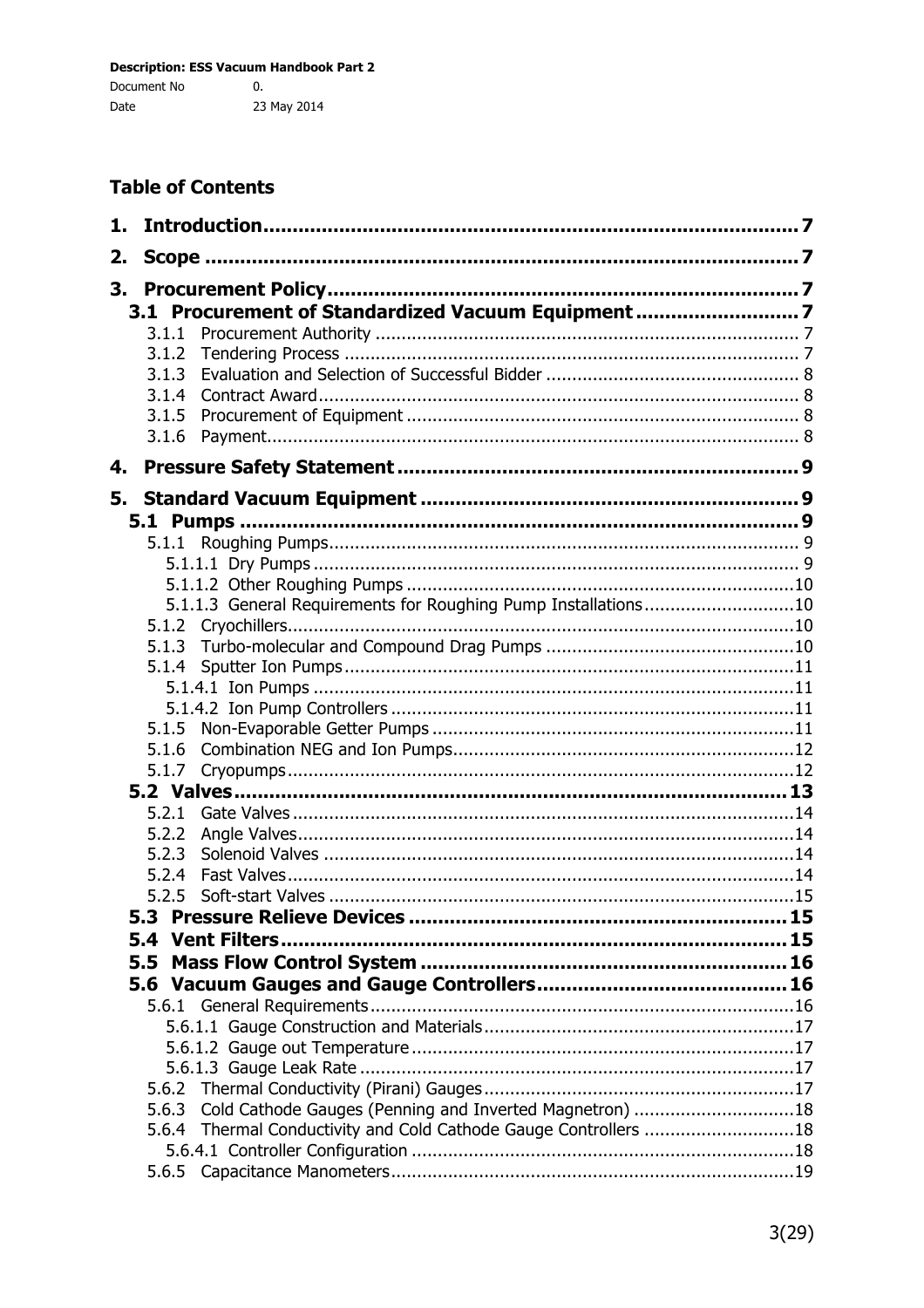# **Table of Contents**

| 1. |                                                                  |  |
|----|------------------------------------------------------------------|--|
| 2. |                                                                  |  |
| 3. |                                                                  |  |
|    | 3.1 Procurement of Standardized Vacuum Equipment7                |  |
|    | 3.1.1                                                            |  |
|    | 3.1.2                                                            |  |
|    | 3.1.3                                                            |  |
|    | 3.1.4                                                            |  |
|    | 3.1.5                                                            |  |
|    | 3.1.6                                                            |  |
| 4. |                                                                  |  |
|    |                                                                  |  |
| 5. |                                                                  |  |
|    |                                                                  |  |
|    | 5.1.1                                                            |  |
|    |                                                                  |  |
|    |                                                                  |  |
|    | 5.1.1.3 General Requirements for Roughing Pump Installations10   |  |
|    |                                                                  |  |
|    | 5.1.3                                                            |  |
|    |                                                                  |  |
|    |                                                                  |  |
|    |                                                                  |  |
|    | 5.1.5                                                            |  |
|    | 5.1.6                                                            |  |
|    | 5.1.7                                                            |  |
|    |                                                                  |  |
|    | 5.2.1                                                            |  |
|    | 5.2.2                                                            |  |
|    | 5.2.3                                                            |  |
|    | 5.2.4                                                            |  |
|    | 5.2.5                                                            |  |
|    | 5.3                                                              |  |
|    |                                                                  |  |
|    | 5.5                                                              |  |
|    |                                                                  |  |
|    |                                                                  |  |
|    |                                                                  |  |
|    |                                                                  |  |
|    |                                                                  |  |
|    |                                                                  |  |
|    | Cold Cathode Gauges (Penning and Inverted Magnetron) 18<br>5.6.3 |  |
|    | 5.6.4 Thermal Conductivity and Cold Cathode Gauge Controllers 18 |  |
|    |                                                                  |  |
|    |                                                                  |  |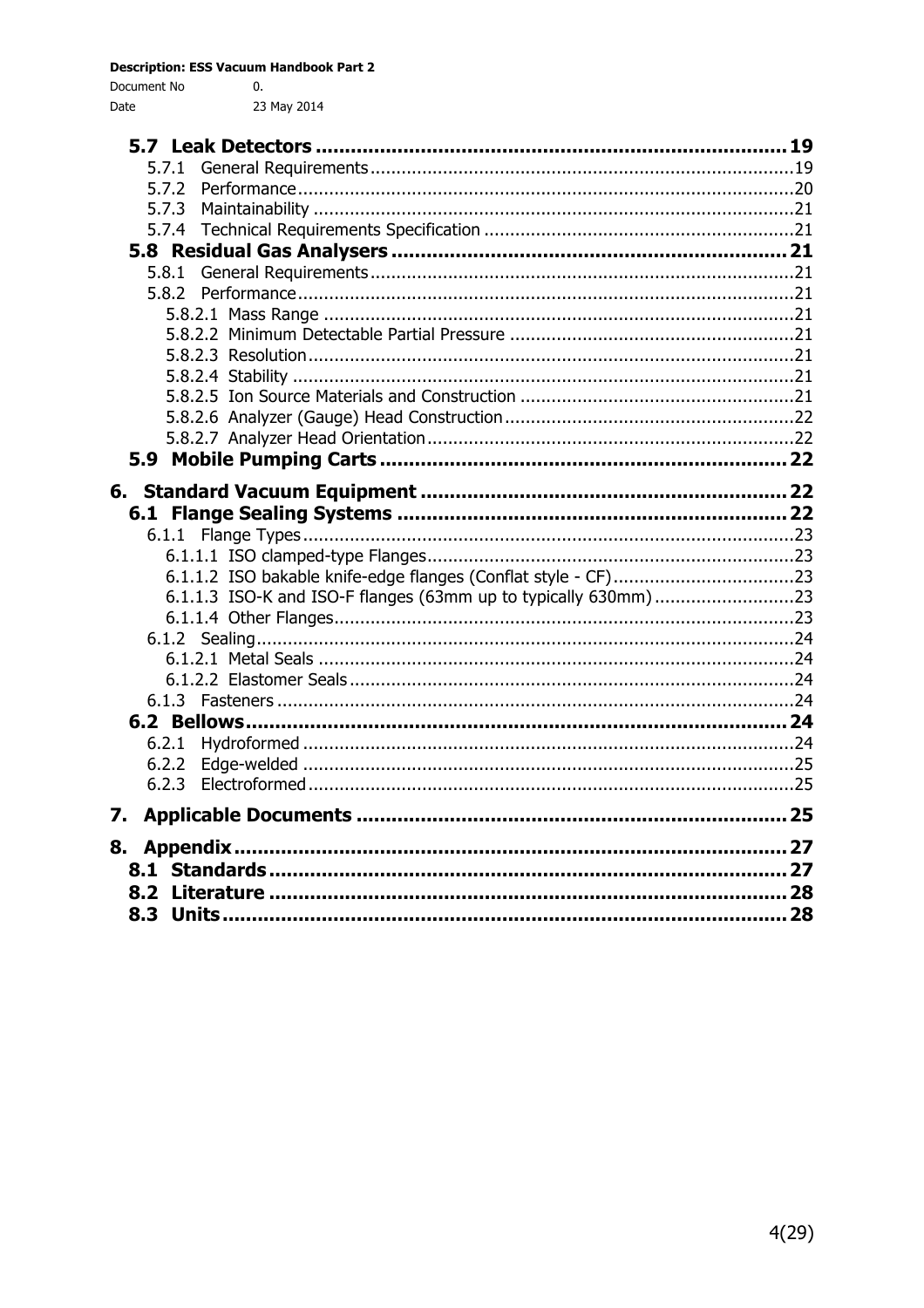| Document No | 0.          |
|-------------|-------------|
| Date        | 23 May 2014 |

|    | 5.7.1                                                          |  |
|----|----------------------------------------------------------------|--|
|    | 5.7.2                                                          |  |
|    | 5.7.3                                                          |  |
|    |                                                                |  |
|    |                                                                |  |
|    | 5.8.1                                                          |  |
|    | 5.8.2                                                          |  |
|    |                                                                |  |
|    |                                                                |  |
|    |                                                                |  |
|    |                                                                |  |
|    |                                                                |  |
|    |                                                                |  |
|    |                                                                |  |
|    |                                                                |  |
|    |                                                                |  |
|    |                                                                |  |
|    |                                                                |  |
|    | 6.1.1                                                          |  |
|    |                                                                |  |
|    |                                                                |  |
|    | 6.1.1.3 ISO-K and ISO-F flanges (63mm up to typically 630mm)23 |  |
|    |                                                                |  |
|    |                                                                |  |
|    |                                                                |  |
|    |                                                                |  |
|    |                                                                |  |
|    |                                                                |  |
|    | 6.2.1                                                          |  |
|    | 6.2.2                                                          |  |
|    | 6.2.3                                                          |  |
| 7. |                                                                |  |
| 8. |                                                                |  |
|    |                                                                |  |
|    |                                                                |  |
|    |                                                                |  |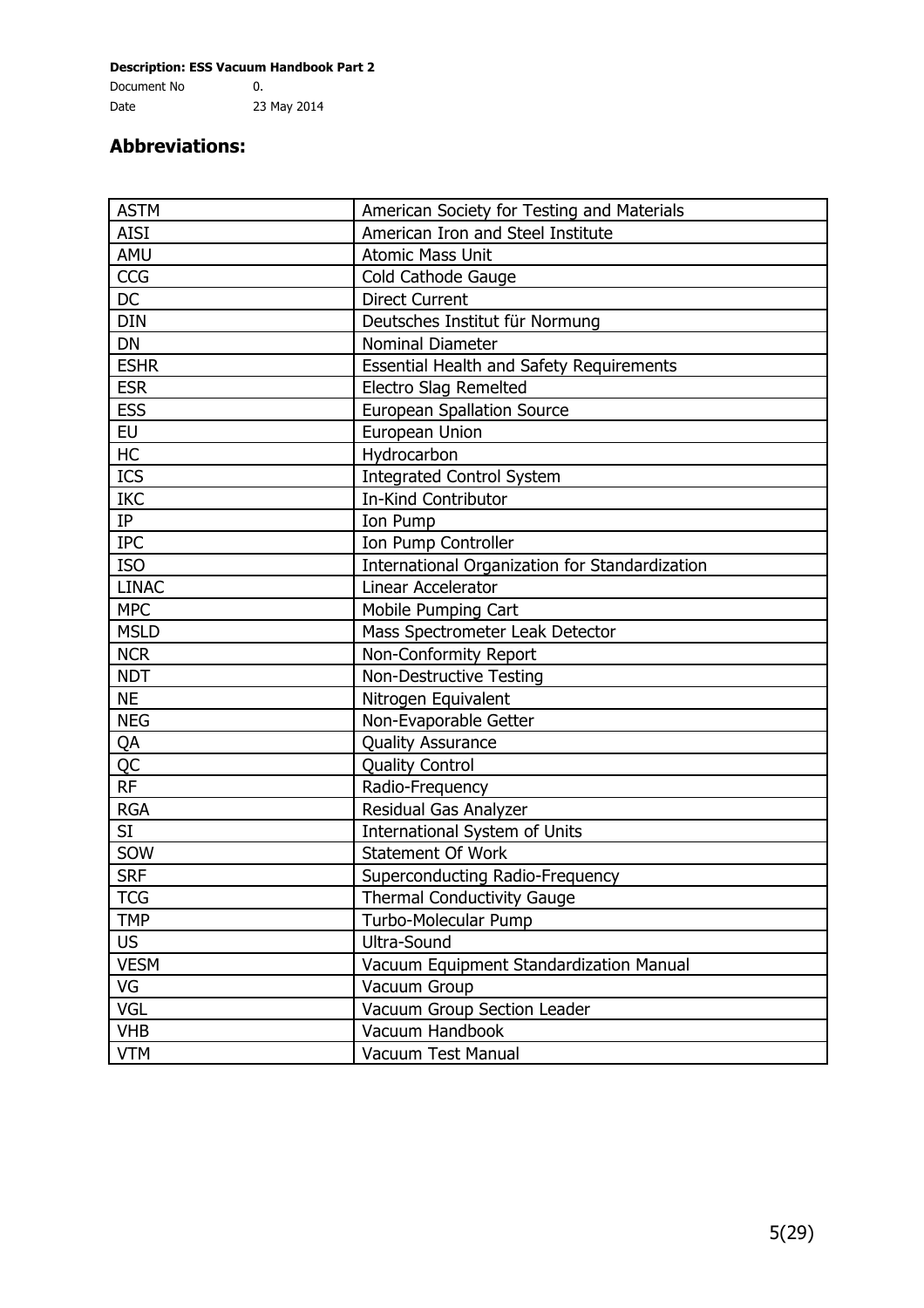# **Abbreviations:**

| <b>ASTM</b>  | American Society for Testing and Materials      |
|--------------|-------------------------------------------------|
| <b>AISI</b>  | American Iron and Steel Institute               |
| AMU          | <b>Atomic Mass Unit</b>                         |
| CCG          | Cold Cathode Gauge                              |
| <b>DC</b>    | <b>Direct Current</b>                           |
| <b>DIN</b>   | Deutsches Institut für Normung                  |
| <b>DN</b>    | Nominal Diameter                                |
| <b>ESHR</b>  | <b>Essential Health and Safety Requirements</b> |
| <b>ESR</b>   | Electro Slag Remelted                           |
| <b>ESS</b>   | <b>European Spallation Source</b>               |
| <b>EU</b>    | European Union                                  |
| HC           | Hydrocarbon                                     |
| ICS          | <b>Integrated Control System</b>                |
| <b>IKC</b>   | In-Kind Contributor                             |
| IP           | Ion Pump                                        |
| <b>IPC</b>   | Ion Pump Controller                             |
| <b>ISO</b>   | International Organization for Standardization  |
| <b>LINAC</b> | Linear Accelerator                              |
| <b>MPC</b>   | Mobile Pumping Cart                             |
| <b>MSLD</b>  | Mass Spectrometer Leak Detector                 |
| <b>NCR</b>   | Non-Conformity Report                           |
| <b>NDT</b>   | Non-Destructive Testing                         |
| <b>NE</b>    | Nitrogen Equivalent                             |
| <b>NEG</b>   | Non-Evaporable Getter                           |
| QA           | <b>Quality Assurance</b>                        |
| <b>QC</b>    | <b>Quality Control</b>                          |
| <b>RF</b>    | Radio-Frequency                                 |
| <b>RGA</b>   | Residual Gas Analyzer                           |
| SI           | <b>International System of Units</b>            |
| SOW          | Statement Of Work                               |
| <b>SRF</b>   | Superconducting Radio-Frequency                 |
| <b>TCG</b>   | Thermal Conductivity Gauge                      |
| <b>TMP</b>   | Turbo-Molecular Pump                            |
| <b>US</b>    | Ultra-Sound                                     |
| <b>VESM</b>  | Vacuum Equipment Standardization Manual         |
| VG           | Vacuum Group                                    |
| VGL          | Vacuum Group Section Leader                     |
| <b>VHB</b>   | Vacuum Handbook                                 |
| <b>VTM</b>   | Vacuum Test Manual                              |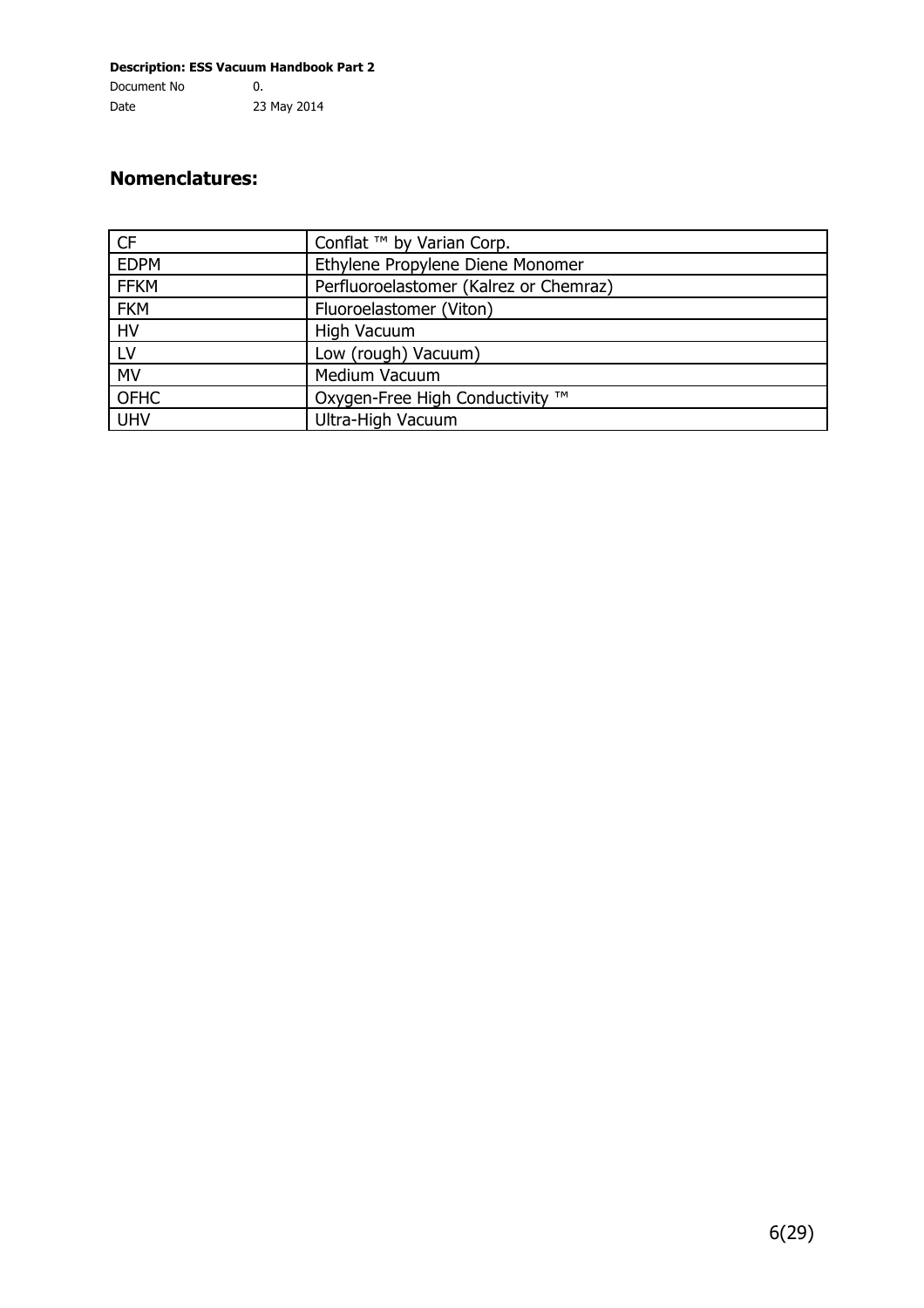#### **Nomenclatures:**

| <b>CF</b>   | Conflat ™ by Varian Corp.              |
|-------------|----------------------------------------|
| <b>EDPM</b> | Ethylene Propylene Diene Monomer       |
| <b>FFKM</b> | Perfluoroelastomer (Kalrez or Chemraz) |
| <b>FKM</b>  | Fluoroelastomer (Viton)                |
| <b>HV</b>   | High Vacuum                            |
| LV          | Low (rough) Vacuum)                    |
| <b>MV</b>   | Medium Vacuum                          |
| <b>OFHC</b> | Oxygen-Free High Conductivity ™        |
| <b>UHV</b>  | Ultra-High Vacuum                      |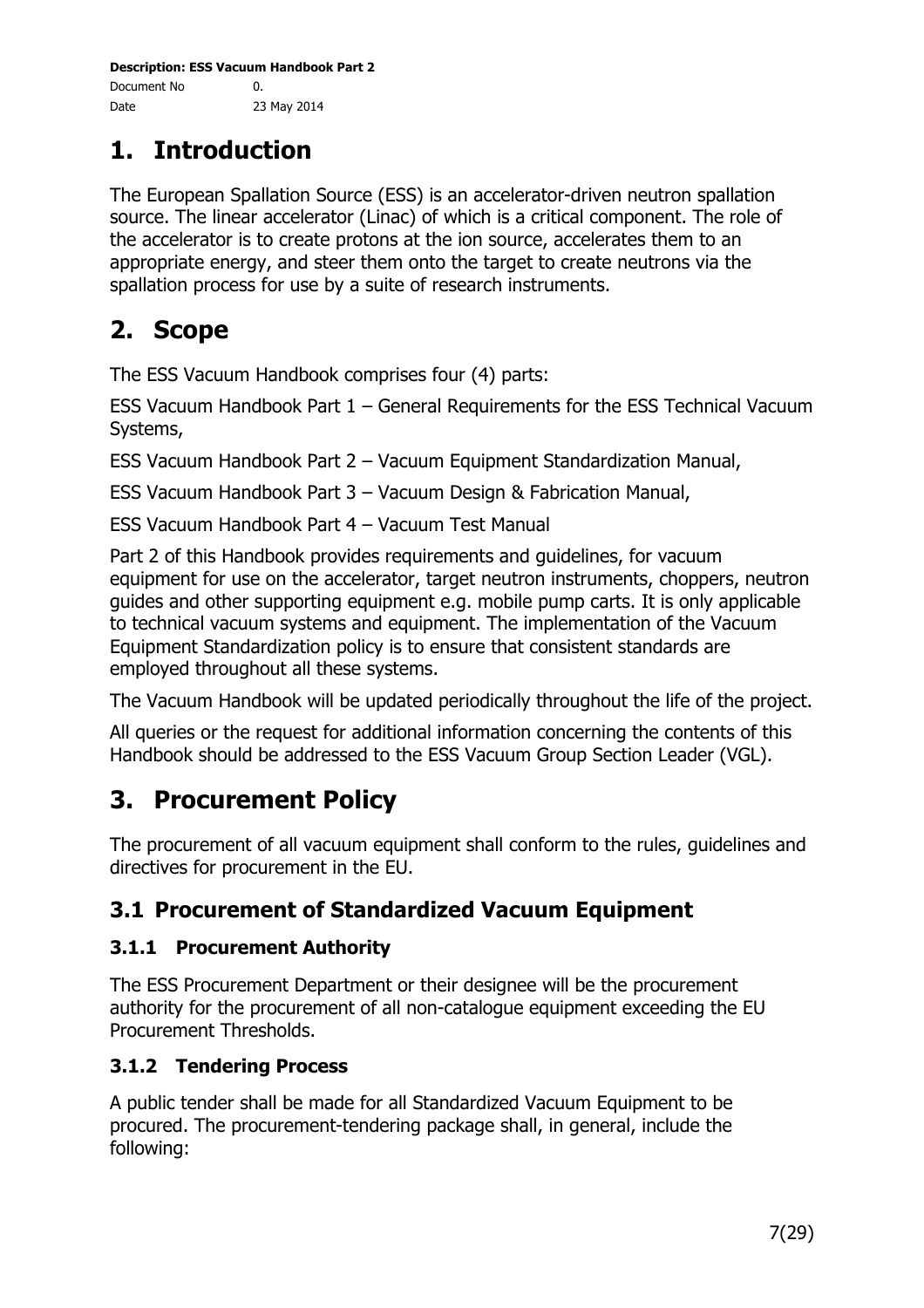# **1. Introduction**

The European Spallation Source (ESS) is an accelerator-driven neutron spallation source. The linear accelerator (Linac) of which is a critical component. The role of the accelerator is to create protons at the ion source, accelerates them to an appropriate energy, and steer them onto the target to create neutrons via the spallation process for use by a suite of research instruments.

# **2. Scope**

The ESS Vacuum Handbook comprises four (4) parts:

ESS Vacuum Handbook Part 1 – General Requirements for the ESS Technical Vacuum Systems,

ESS Vacuum Handbook Part 2 – Vacuum Equipment Standardization Manual,

ESS Vacuum Handbook Part 3 – Vacuum Design & Fabrication Manual,

ESS Vacuum Handbook Part 4 – Vacuum Test Manual

Part 2 of this Handbook provides requirements and guidelines, for vacuum equipment for use on the accelerator, target neutron instruments, choppers, neutron guides and other supporting equipment e.g. mobile pump carts. It is only applicable to technical vacuum systems and equipment. The implementation of the Vacuum Equipment Standardization policy is to ensure that consistent standards are employed throughout all these systems.

The Vacuum Handbook will be updated periodically throughout the life of the project.

All queries or the request for additional information concerning the contents of this Handbook should be addressed to the ESS Vacuum Group Section Leader (VGL).

# **3. Procurement Policy**

The procurement of all vacuum equipment shall conform to the rules, guidelines and directives for procurement in the EU.

# **3.1 Procurement of Standardized Vacuum Equipment**

## **3.1.1 Procurement Authority**

The ESS Procurement Department or their designee will be the procurement authority for the procurement of all non-catalogue equipment exceeding the EU Procurement Thresholds.

## **3.1.2 Tendering Process**

A public tender shall be made for all Standardized Vacuum Equipment to be procured. The procurement-tendering package shall, in general, include the following: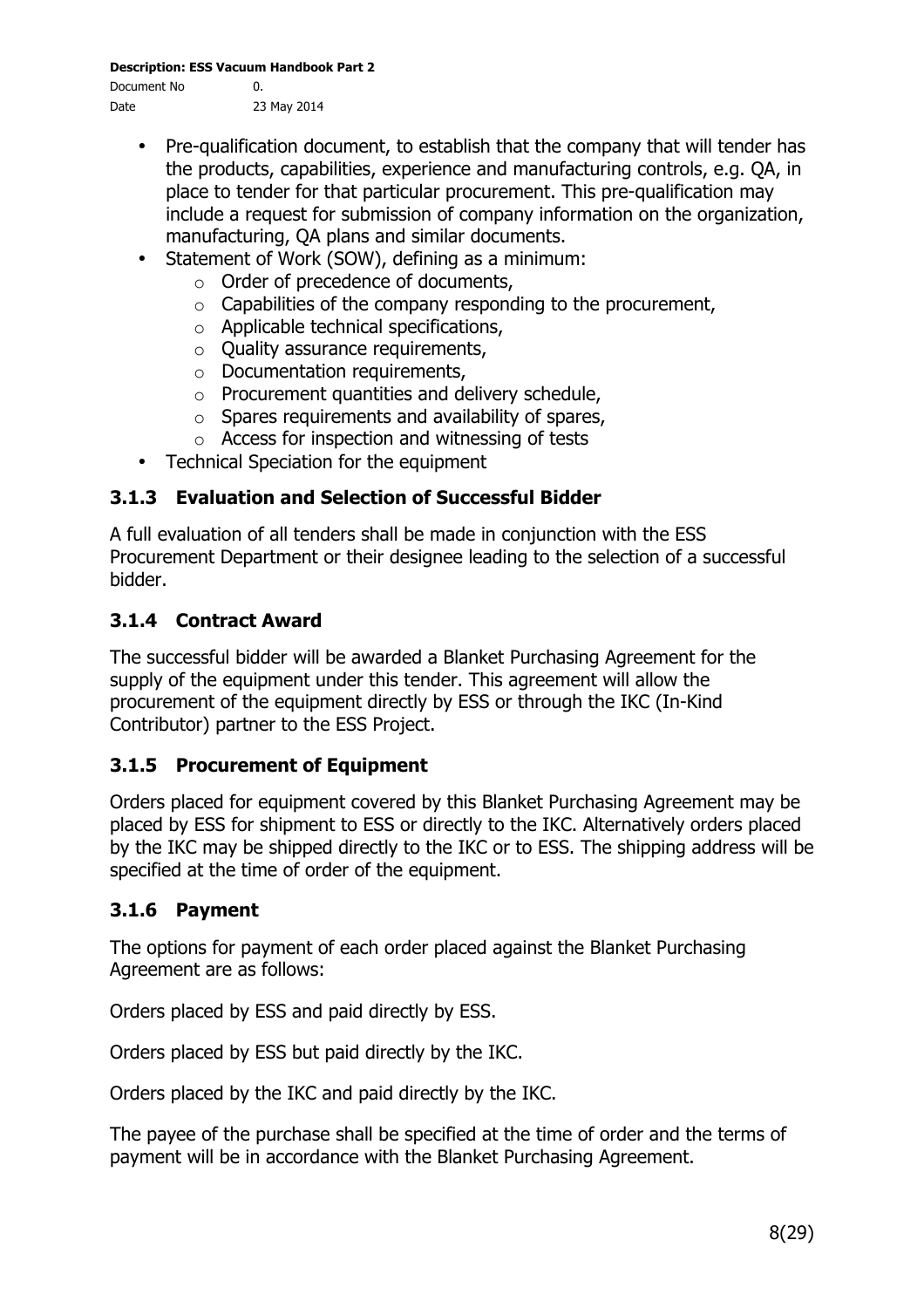**Description: ESS Vacuum Handbook Part 2**

Document No 0. Date 23 May 2014

- Pre-qualification document, to establish that the company that will tender has the products, capabilities, experience and manufacturing controls, e.g. QA, in place to tender for that particular procurement. This pre-qualification may include a request for submission of company information on the organization, manufacturing, QA plans and similar documents.
- Statement of Work (SOW), defining as a minimum:
	- o Order of precedence of documents,
	- $\circ$  Capabilities of the company responding to the procurement,
	- o Applicable technical specifications,
	- $\circ$  Ouality assurance requirements,
	- o Documentation requirements,
	- o Procurement quantities and delivery schedule,
	- $\circ$  Spares requirements and availability of spares,
	- o Access for inspection and witnessing of tests
- Technical Speciation for the equipment

#### **3.1.3 Evaluation and Selection of Successful Bidder**

A full evaluation of all tenders shall be made in conjunction with the ESS Procurement Department or their designee leading to the selection of a successful bidder.

#### **3.1.4 Contract Award**

The successful bidder will be awarded a Blanket Purchasing Agreement for the supply of the equipment under this tender. This agreement will allow the procurement of the equipment directly by ESS or through the IKC (In-Kind Contributor) partner to the ESS Project.

#### **3.1.5 Procurement of Equipment**

Orders placed for equipment covered by this Blanket Purchasing Agreement may be placed by ESS for shipment to ESS or directly to the IKC. Alternatively orders placed by the IKC may be shipped directly to the IKC or to ESS. The shipping address will be specified at the time of order of the equipment.

#### **3.1.6 Payment**

The options for payment of each order placed against the Blanket Purchasing Agreement are as follows:

Orders placed by ESS and paid directly by ESS.

Orders placed by ESS but paid directly by the IKC.

Orders placed by the IKC and paid directly by the IKC.

The payee of the purchase shall be specified at the time of order and the terms of payment will be in accordance with the Blanket Purchasing Agreement.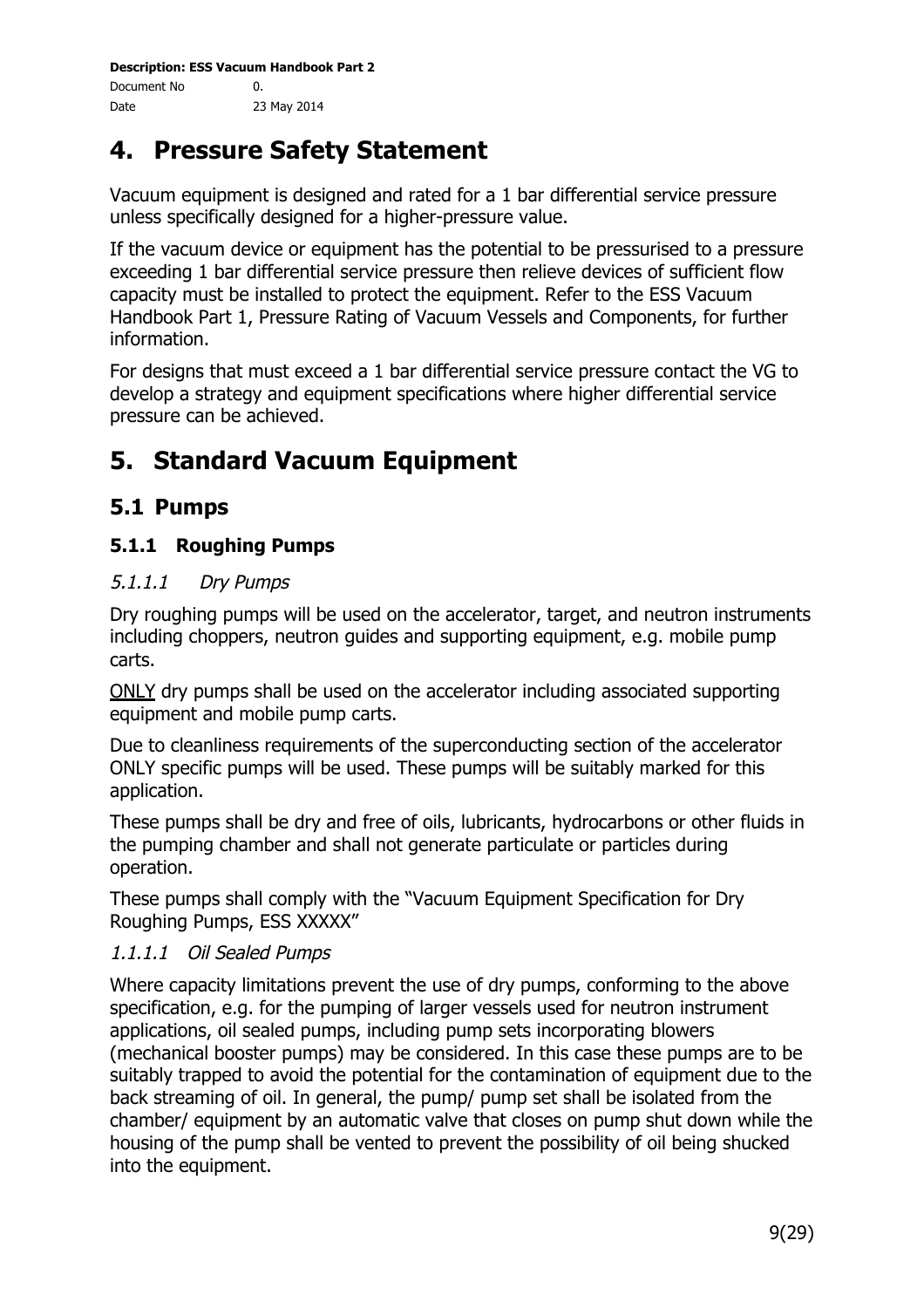# **4. Pressure Safety Statement**

Vacuum equipment is designed and rated for a 1 bar differential service pressure unless specifically designed for a higher-pressure value.

If the vacuum device or equipment has the potential to be pressurised to a pressure exceeding 1 bar differential service pressure then relieve devices of sufficient flow capacity must be installed to protect the equipment. Refer to the ESS Vacuum Handbook Part 1, Pressure Rating of Vacuum Vessels and Components, for further information.

For designs that must exceed a 1 bar differential service pressure contact the VG to develop a strategy and equipment specifications where higher differential service pressure can be achieved.

# **5. Standard Vacuum Equipment**

# **5.1 Pumps**

#### **5.1.1 Roughing Pumps**

#### 5.1.1.1 Dry Pumps

Dry roughing pumps will be used on the accelerator, target, and neutron instruments including choppers, neutron guides and supporting equipment, e.g. mobile pump carts.

ONLY dry pumps shall be used on the accelerator including associated supporting equipment and mobile pump carts.

Due to cleanliness requirements of the superconducting section of the accelerator ONLY specific pumps will be used. These pumps will be suitably marked for this application.

These pumps shall be dry and free of oils, lubricants, hydrocarbons or other fluids in the pumping chamber and shall not generate particulate or particles during operation.

These pumps shall comply with the "Vacuum Equipment Specification for Dry Roughing Pumps, ESS XXXXX"

#### 1.1.1.1 Oil Sealed Pumps

Where capacity limitations prevent the use of dry pumps, conforming to the above specification, e.g. for the pumping of larger vessels used for neutron instrument applications, oil sealed pumps, including pump sets incorporating blowers (mechanical booster pumps) may be considered. In this case these pumps are to be suitably trapped to avoid the potential for the contamination of equipment due to the back streaming of oil. In general, the pump/ pump set shall be isolated from the chamber/ equipment by an automatic valve that closes on pump shut down while the housing of the pump shall be vented to prevent the possibility of oil being shucked into the equipment.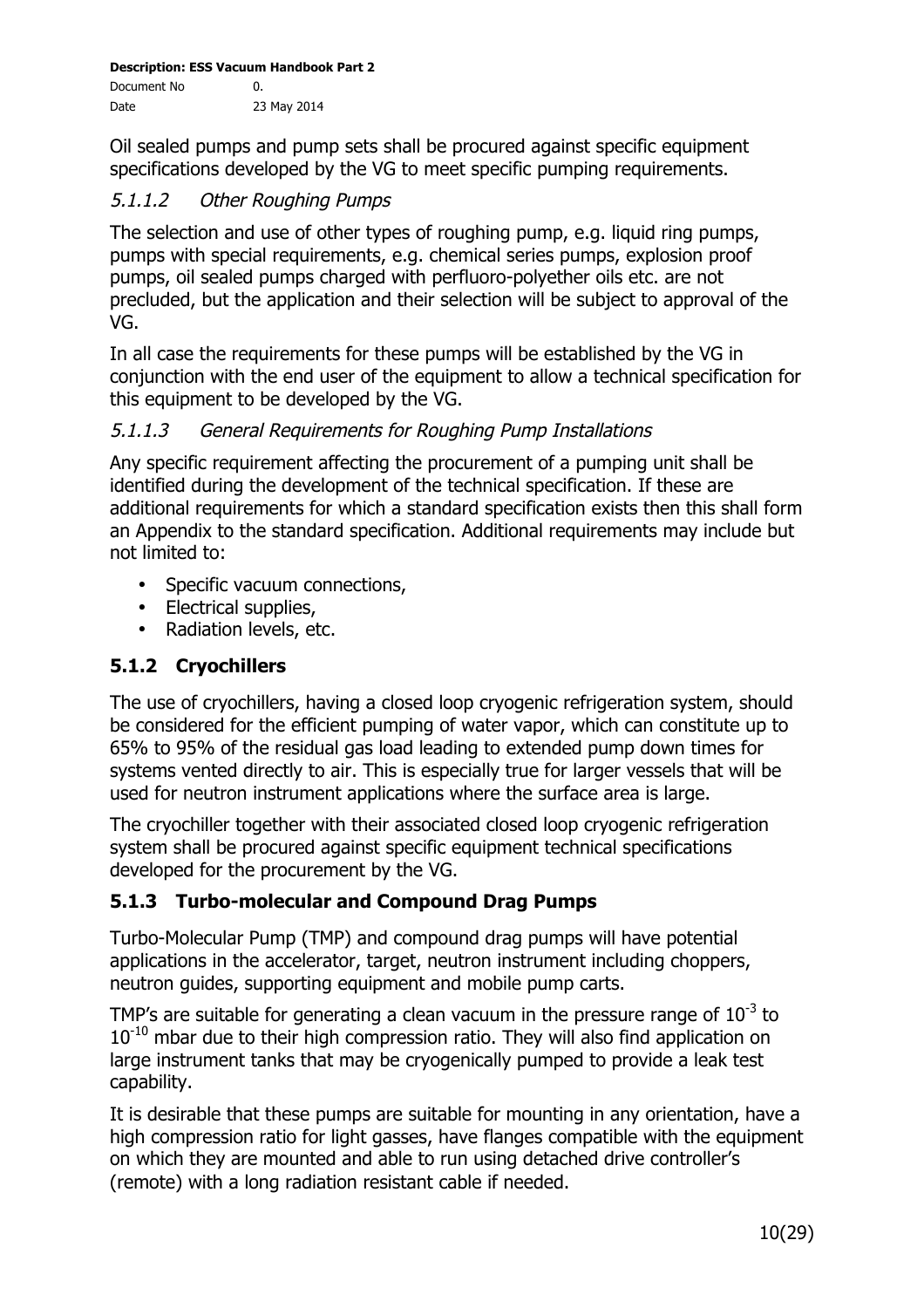Oil sealed pumps and pump sets shall be procured against specific equipment specifications developed by the VG to meet specific pumping requirements.

### 5.1.1.2 Other Roughing Pumps

The selection and use of other types of roughing pump, e.g. liquid ring pumps, pumps with special requirements, e.g. chemical series pumps, explosion proof pumps, oil sealed pumps charged with perfluoro-polyether oils etc. are not precluded, but the application and their selection will be subject to approval of the VG.

In all case the requirements for these pumps will be established by the VG in conjunction with the end user of the equipment to allow a technical specification for this equipment to be developed by the VG.

#### 5.1.1.3 General Requirements for Roughing Pump Installations

Any specific requirement affecting the procurement of a pumping unit shall be identified during the development of the technical specification. If these are additional requirements for which a standard specification exists then this shall form an Appendix to the standard specification. Additional requirements may include but not limited to:

- Specific vacuum connections,
- Electrical supplies,
- Radiation levels, etc.

#### **5.1.2 Cryochillers**

The use of cryochillers, having a closed loop cryogenic refrigeration system, should be considered for the efficient pumping of water vapor, which can constitute up to 65% to 95% of the residual gas load leading to extended pump down times for systems vented directly to air. This is especially true for larger vessels that will be used for neutron instrument applications where the surface area is large.

The cryochiller together with their associated closed loop cryogenic refrigeration system shall be procured against specific equipment technical specifications developed for the procurement by the VG.

#### **5.1.3 Turbo-molecular and Compound Drag Pumps**

Turbo-Molecular Pump (TMP) and compound drag pumps will have potential applications in the accelerator, target, neutron instrument including choppers, neutron guides, supporting equipment and mobile pump carts.

TMP's are suitable for generating a clean vacuum in the pressure range of  $10^{-3}$  to  $10^{-10}$  mbar due to their high compression ratio. They will also find application on large instrument tanks that may be cryogenically pumped to provide a leak test capability.

It is desirable that these pumps are suitable for mounting in any orientation, have a high compression ratio for light gasses, have flanges compatible with the equipment on which they are mounted and able to run using detached drive controller's (remote) with a long radiation resistant cable if needed.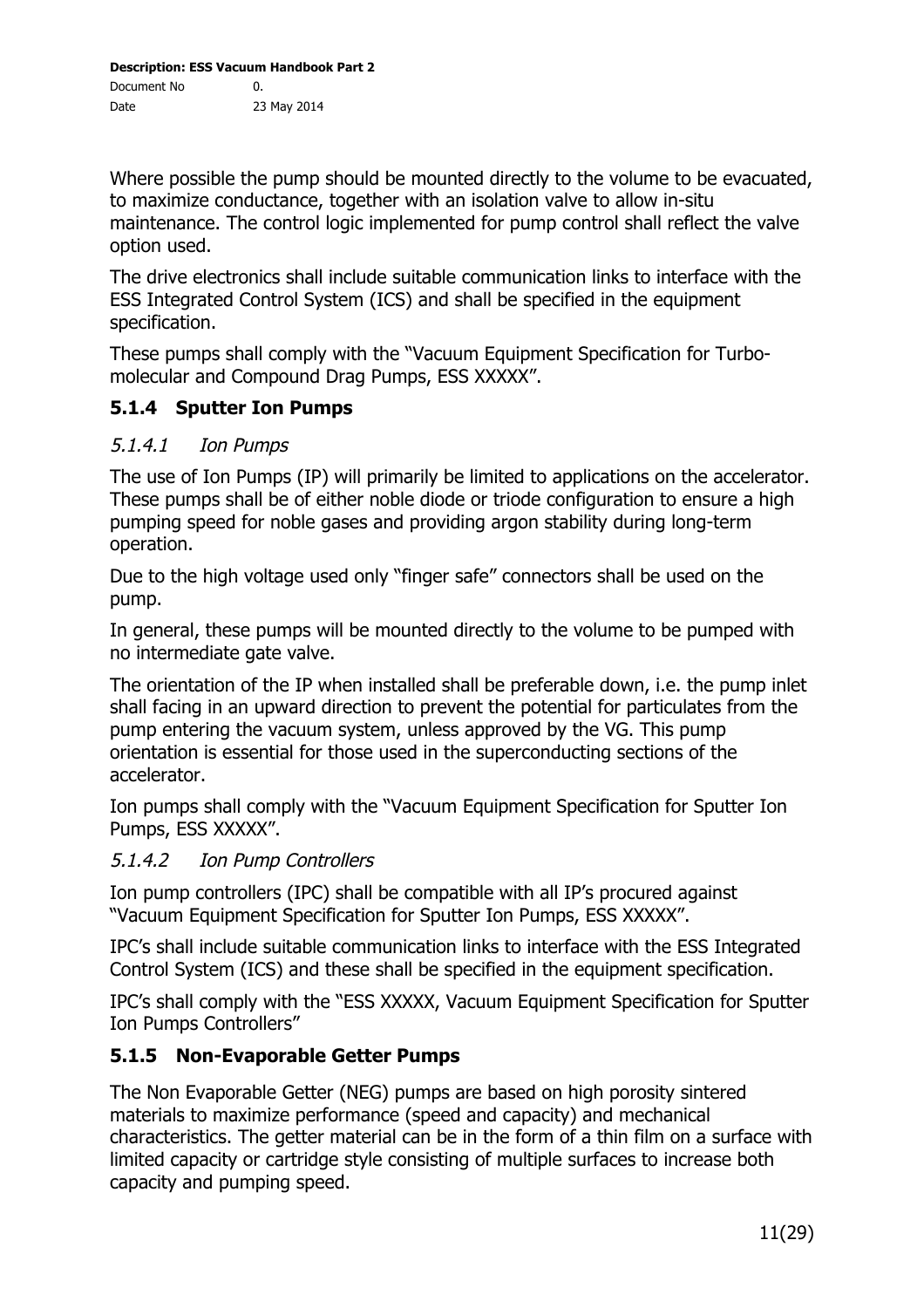Where possible the pump should be mounted directly to the volume to be evacuated, to maximize conductance, together with an isolation valve to allow in-situ maintenance. The control logic implemented for pump control shall reflect the valve option used.

The drive electronics shall include suitable communication links to interface with the ESS Integrated Control System (ICS) and shall be specified in the equipment specification.

These pumps shall comply with the "Vacuum Equipment Specification for Turbomolecular and Compound Drag Pumps, ESS XXXXX".

#### **5.1.4 Sputter Ion Pumps**

#### 5.1.4.1 Ion Pumps

The use of Ion Pumps (IP) will primarily be limited to applications on the accelerator. These pumps shall be of either noble diode or triode configuration to ensure a high pumping speed for noble gases and providing argon stability during long-term operation.

Due to the high voltage used only "finger safe" connectors shall be used on the pump.

In general, these pumps will be mounted directly to the volume to be pumped with no intermediate gate valve.

The orientation of the IP when installed shall be preferable down, i.e. the pump inlet shall facing in an upward direction to prevent the potential for particulates from the pump entering the vacuum system, unless approved by the VG. This pump orientation is essential for those used in the superconducting sections of the accelerator.

Ion pumps shall comply with the "Vacuum Equipment Specification for Sputter Ion Pumps, ESS XXXXX".

#### 5.1.4.2 Ion Pump Controllers

Ion pump controllers (IPC) shall be compatible with all IP's procured against "Vacuum Equipment Specification for Sputter Ion Pumps, ESS XXXXX".

IPC's shall include suitable communication links to interface with the ESS Integrated Control System (ICS) and these shall be specified in the equipment specification.

IPC's shall comply with the "ESS XXXXX, Vacuum Equipment Specification for Sputter Ion Pumps Controllers"

## **5.1.5 Non-Evaporable Getter Pumps**

The Non Evaporable Getter (NEG) pumps are based on high porosity sintered materials to maximize performance (speed and capacity) and mechanical characteristics. The getter material can be in the form of a thin film on a surface with limited capacity or cartridge style consisting of multiple surfaces to increase both capacity and pumping speed.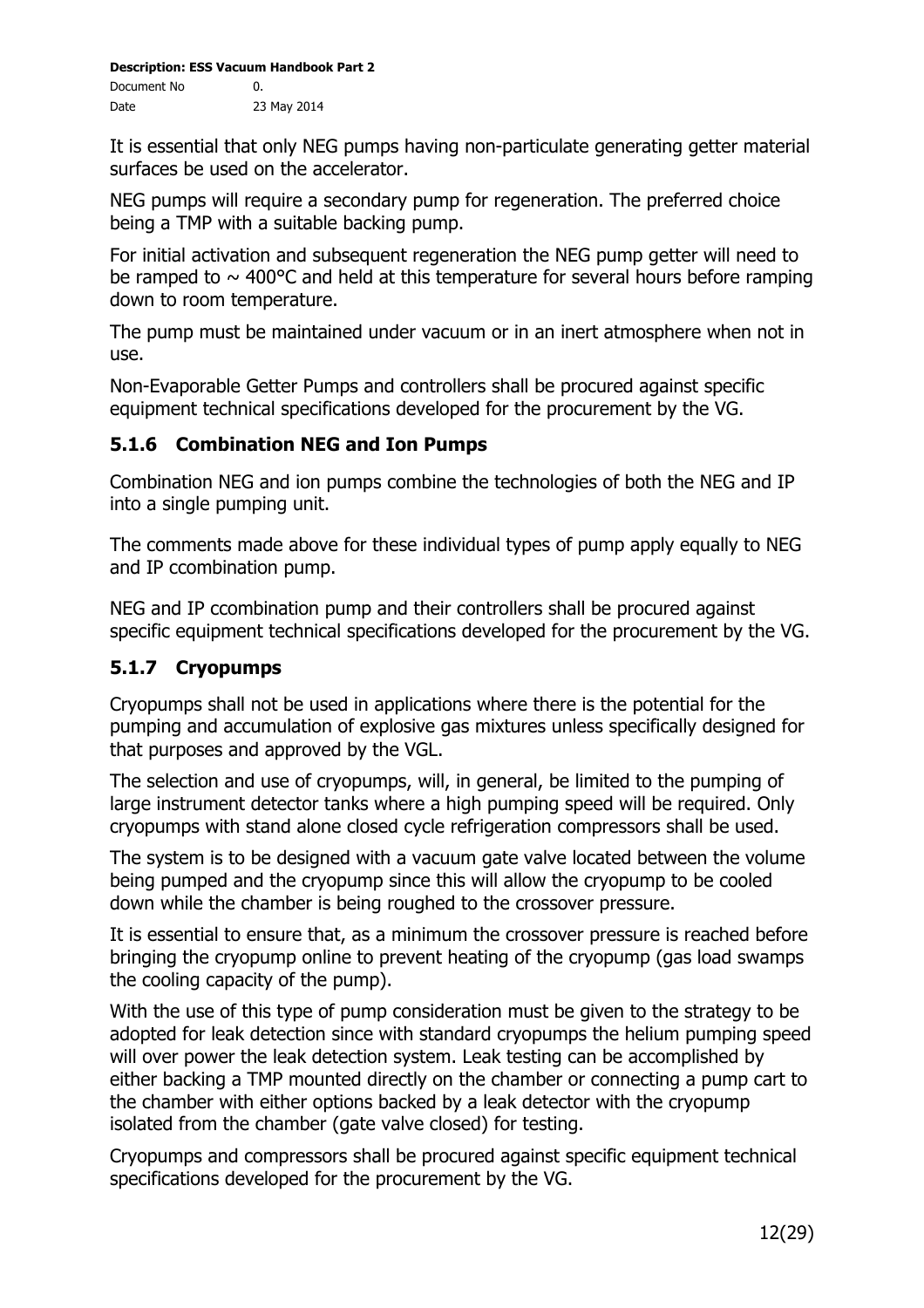It is essential that only NEG pumps having non-particulate generating getter material surfaces be used on the accelerator.

NEG pumps will require a secondary pump for regeneration. The preferred choice being a TMP with a suitable backing pump.

For initial activation and subsequent regeneration the NEG pump getter will need to be ramped to  $\sim$  400°C and held at this temperature for several hours before ramping down to room temperature.

The pump must be maintained under vacuum or in an inert atmosphere when not in use.

Non-Evaporable Getter Pumps and controllers shall be procured against specific equipment technical specifications developed for the procurement by the VG.

## **5.1.6 Combination NEG and Ion Pumps**

Combination NEG and ion pumps combine the technologies of both the NEG and IP into a single pumping unit.

The comments made above for these individual types of pump apply equally to NEG and IP ccombination pump.

NEG and IP ccombination pump and their controllers shall be procured against specific equipment technical specifications developed for the procurement by the VG.

## **5.1.7 Cryopumps**

Cryopumps shall not be used in applications where there is the potential for the pumping and accumulation of explosive gas mixtures unless specifically designed for that purposes and approved by the VGL.

The selection and use of cryopumps, will, in general, be limited to the pumping of large instrument detector tanks where a high pumping speed will be required. Only cryopumps with stand alone closed cycle refrigeration compressors shall be used.

The system is to be designed with a vacuum gate valve located between the volume being pumped and the cryopump since this will allow the cryopump to be cooled down while the chamber is being roughed to the crossover pressure.

It is essential to ensure that, as a minimum the crossover pressure is reached before bringing the cryopump online to prevent heating of the cryopump (gas load swamps the cooling capacity of the pump).

With the use of this type of pump consideration must be given to the strategy to be adopted for leak detection since with standard cryopumps the helium pumping speed will over power the leak detection system. Leak testing can be accomplished by either backing a TMP mounted directly on the chamber or connecting a pump cart to the chamber with either options backed by a leak detector with the cryopump isolated from the chamber (gate valve closed) for testing.

Cryopumps and compressors shall be procured against specific equipment technical specifications developed for the procurement by the VG.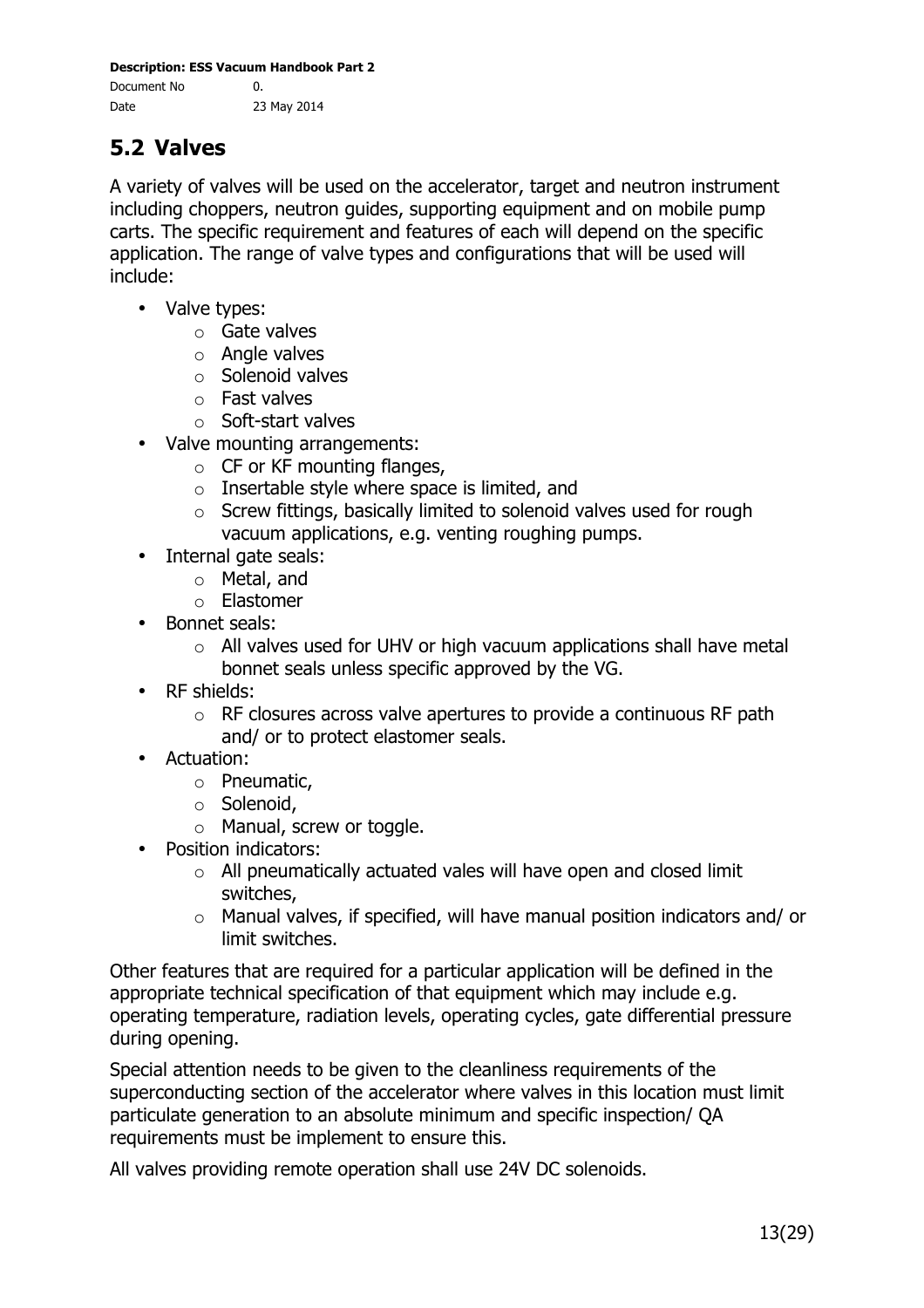# **5.2 Valves**

A variety of valves will be used on the accelerator, target and neutron instrument including choppers, neutron guides, supporting equipment and on mobile pump carts. The specific requirement and features of each will depend on the specific application. The range of valve types and configurations that will be used will include:

- Valve types:
	- o Gate valves
	- $\circ$  Angle valves
	- o Solenoid valves
	- o Fast valves
	- o Soft-start valves
- Valve mounting arrangements:
	- $\circ$  CF or KF mounting flanges,
	- o Insertable style where space is limited, and
	- o Screw fittings, basically limited to solenoid valves used for rough vacuum applications, e.g. venting roughing pumps.
- Internal gate seals:
	- o Metal, and
	- o Elastomer
- Bonnet seals:
	- $\circ$  All valves used for UHV or high vacuum applications shall have metal bonnet seals unless specific approved by the VG.
- RF shields:
	- $\circ$  RF closures across valve apertures to provide a continuous RF path and/ or to protect elastomer seals.
- Actuation:
	- o Pneumatic,
	- o Solenoid,
	- o Manual, screw or toggle.
- Position indicators:
	- $\circ$  All pneumatically actuated vales will have open and closed limit switches,
	- o Manual valves, if specified, will have manual position indicators and/ or limit switches.

Other features that are required for a particular application will be defined in the appropriate technical specification of that equipment which may include e.g. operating temperature, radiation levels, operating cycles, gate differential pressure during opening.

Special attention needs to be given to the cleanliness requirements of the superconducting section of the accelerator where valves in this location must limit particulate generation to an absolute minimum and specific inspection/ QA requirements must be implement to ensure this.

All valves providing remote operation shall use 24V DC solenoids.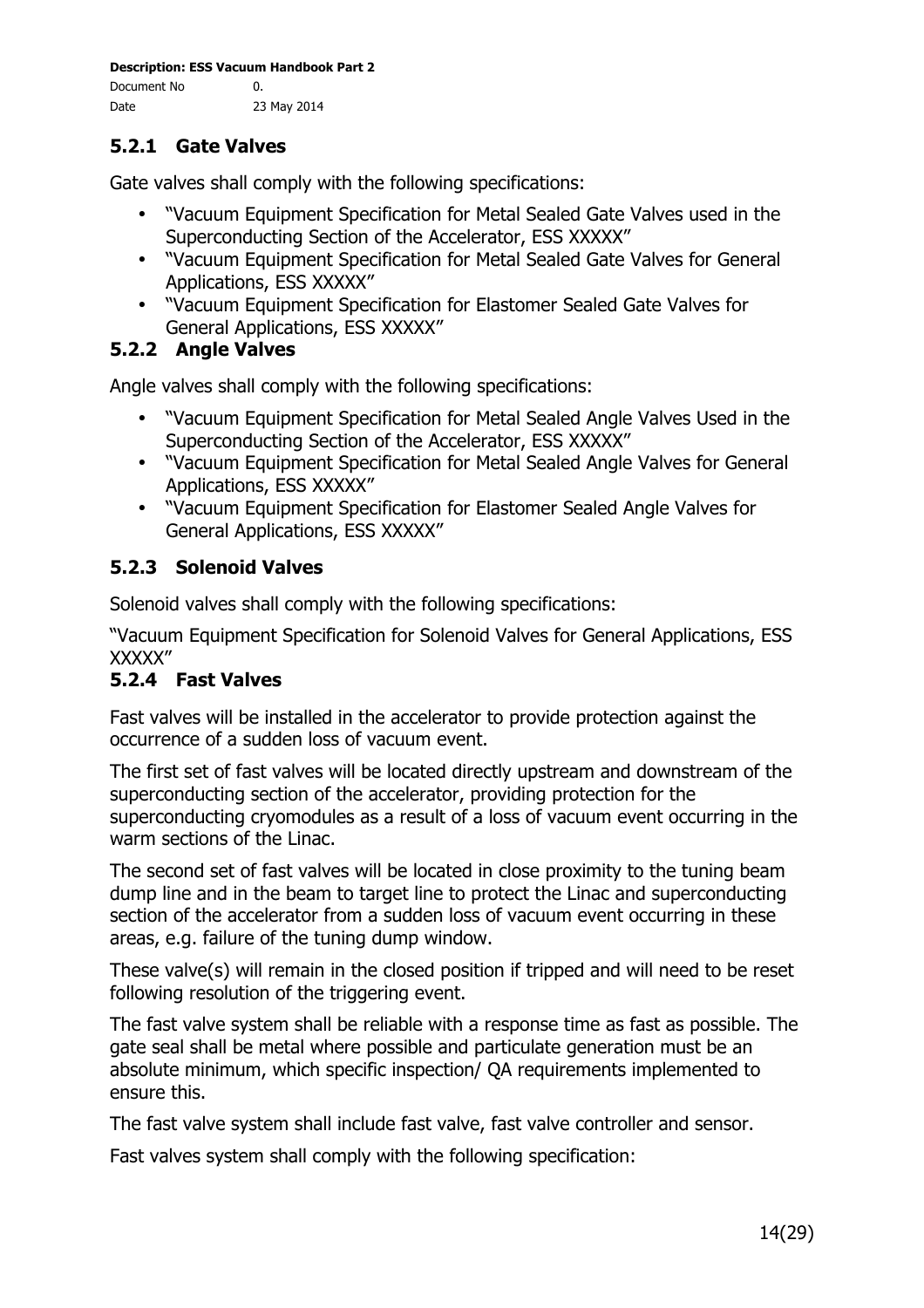## **5.2.1 Gate Valves**

Gate valves shall comply with the following specifications:

- "Vacuum Equipment Specification for Metal Sealed Gate Valves used in the Superconducting Section of the Accelerator, ESS XXXXX"
- "Vacuum Equipment Specification for Metal Sealed Gate Valves for General Applications, ESS XXXXX"
- "Vacuum Equipment Specification for Elastomer Sealed Gate Valves for General Applications, ESS XXXXX"

#### **5.2.2 Angle Valves**

Angle valves shall comply with the following specifications:

- "Vacuum Equipment Specification for Metal Sealed Angle Valves Used in the Superconducting Section of the Accelerator, ESS XXXXX"
- "Vacuum Equipment Specification for Metal Sealed Angle Valves for General Applications, ESS XXXXX"
- "Vacuum Equipment Specification for Elastomer Sealed Angle Valves for General Applications, ESS XXXXX"

#### **5.2.3 Solenoid Valves**

Solenoid valves shall comply with the following specifications:

"Vacuum Equipment Specification for Solenoid Valves for General Applications, ESS XXXXX"

#### **5.2.4 Fast Valves**

Fast valves will be installed in the accelerator to provide protection against the occurrence of a sudden loss of vacuum event.

The first set of fast valves will be located directly upstream and downstream of the superconducting section of the accelerator, providing protection for the superconducting cryomodules as a result of a loss of vacuum event occurring in the warm sections of the Linac.

The second set of fast valves will be located in close proximity to the tuning beam dump line and in the beam to target line to protect the Linac and superconducting section of the accelerator from a sudden loss of vacuum event occurring in these areas, e.g. failure of the tuning dump window.

These valve(s) will remain in the closed position if tripped and will need to be reset following resolution of the triggering event.

The fast valve system shall be reliable with a response time as fast as possible. The gate seal shall be metal where possible and particulate generation must be an absolute minimum, which specific inspection/ QA requirements implemented to ensure this.

The fast valve system shall include fast valve, fast valve controller and sensor.

Fast valves system shall comply with the following specification: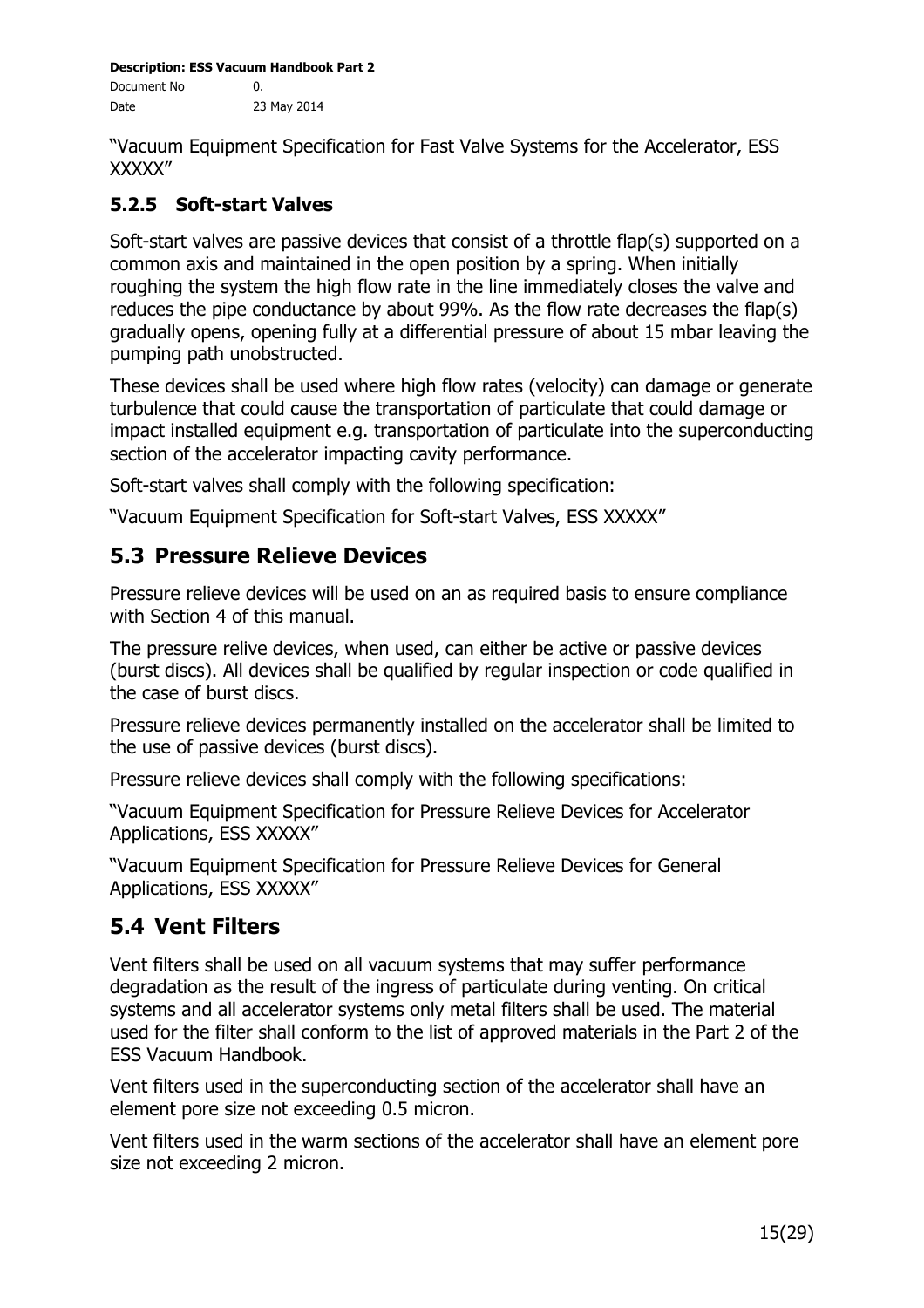"Vacuum Equipment Specification for Fast Valve Systems for the Accelerator, ESS XXXXX"

### **5.2.5 Soft-start Valves**

Soft-start valves are passive devices that consist of a throttle flap(s) supported on a common axis and maintained in the open position by a spring. When initially roughing the system the high flow rate in the line immediately closes the valve and reduces the pipe conductance by about 99%. As the flow rate decreases the flap(s) gradually opens, opening fully at a differential pressure of about 15 mbar leaving the pumping path unobstructed.

These devices shall be used where high flow rates (velocity) can damage or generate turbulence that could cause the transportation of particulate that could damage or impact installed equipment e.g. transportation of particulate into the superconducting section of the accelerator impacting cavity performance.

Soft-start valves shall comply with the following specification:

"Vacuum Equipment Specification for Soft-start Valves, ESS XXXXX"

# **5.3 Pressure Relieve Devices**

Pressure relieve devices will be used on an as required basis to ensure compliance with Section 4 of this manual.

The pressure relive devices, when used, can either be active or passive devices (burst discs). All devices shall be qualified by regular inspection or code qualified in the case of burst discs.

Pressure relieve devices permanently installed on the accelerator shall be limited to the use of passive devices (burst discs).

Pressure relieve devices shall comply with the following specifications:

"Vacuum Equipment Specification for Pressure Relieve Devices for Accelerator Applications, ESS XXXXX"

"Vacuum Equipment Specification for Pressure Relieve Devices for General Applications, ESS XXXXX"

# **5.4 Vent Filters**

Vent filters shall be used on all vacuum systems that may suffer performance degradation as the result of the ingress of particulate during venting. On critical systems and all accelerator systems only metal filters shall be used. The material used for the filter shall conform to the list of approved materials in the Part 2 of the ESS Vacuum Handbook.

Vent filters used in the superconducting section of the accelerator shall have an element pore size not exceeding 0.5 micron.

Vent filters used in the warm sections of the accelerator shall have an element pore size not exceeding 2 micron.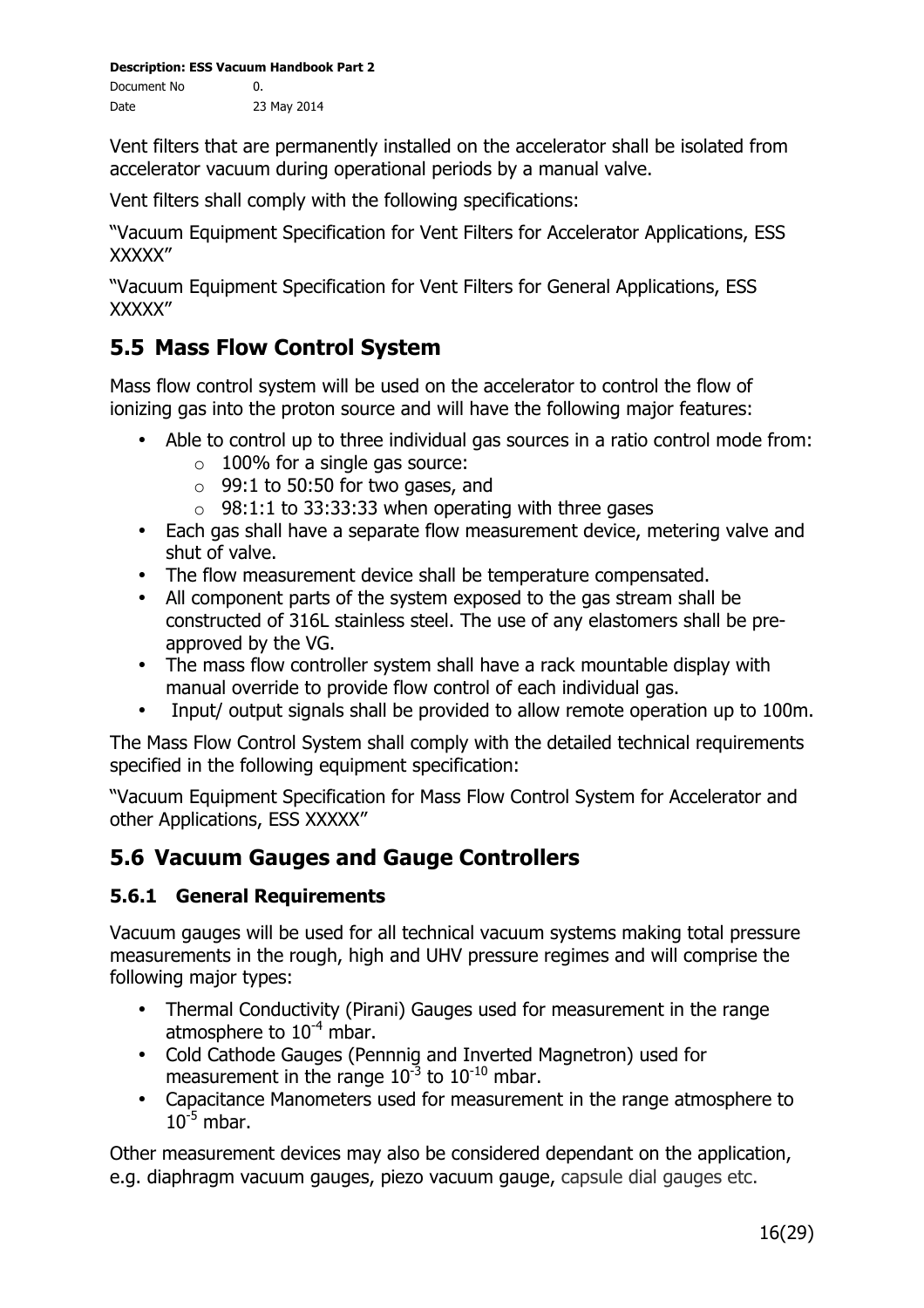Vent filters that are permanently installed on the accelerator shall be isolated from accelerator vacuum during operational periods by a manual valve.

Vent filters shall comply with the following specifications:

"Vacuum Equipment Specification for Vent Filters for Accelerator Applications, ESS XXXXX"

"Vacuum Equipment Specification for Vent Filters for General Applications, ESS XXXXX"

# **5.5 Mass Flow Control System**

Mass flow control system will be used on the accelerator to control the flow of ionizing gas into the proton source and will have the following major features:

- Able to control up to three individual gas sources in a ratio control mode from:
	- $\circ$  100% for a single gas source:
	- $\circ$  99:1 to 50:50 for two gases, and
	- $\circ$  98:1:1 to 33:33:33 when operating with three gases
- Each gas shall have a separate flow measurement device, metering valve and shut of valve.
- The flow measurement device shall be temperature compensated.
- All component parts of the system exposed to the gas stream shall be constructed of 316L stainless steel. The use of any elastomers shall be preapproved by the VG.
- The mass flow controller system shall have a rack mountable display with manual override to provide flow control of each individual gas.
- Input/ output signals shall be provided to allow remote operation up to 100m.

The Mass Flow Control System shall comply with the detailed technical requirements specified in the following equipment specification:

"Vacuum Equipment Specification for Mass Flow Control System for Accelerator and other Applications, ESS XXXXX"

## **5.6 Vacuum Gauges and Gauge Controllers**

#### **5.6.1 General Requirements**

Vacuum gauges will be used for all technical vacuum systems making total pressure measurements in the rough, high and UHV pressure regimes and will comprise the following major types:

- Thermal Conductivity (Pirani) Gauges used for measurement in the range atmosphere to  $10^{-4}$  mbar.
- Cold Cathode Gauges (Pennnig and Inverted Magnetron) used for measurement in the range  $10^{-3}$  to  $10^{-10}$  mbar.
- Capacitance Manometers used for measurement in the range atmosphere to  $10^{-5}$  mbar.

Other measurement devices may also be considered dependant on the application, e.g. diaphragm vacuum gauges, piezo vacuum gauge, capsule dial gauges etc.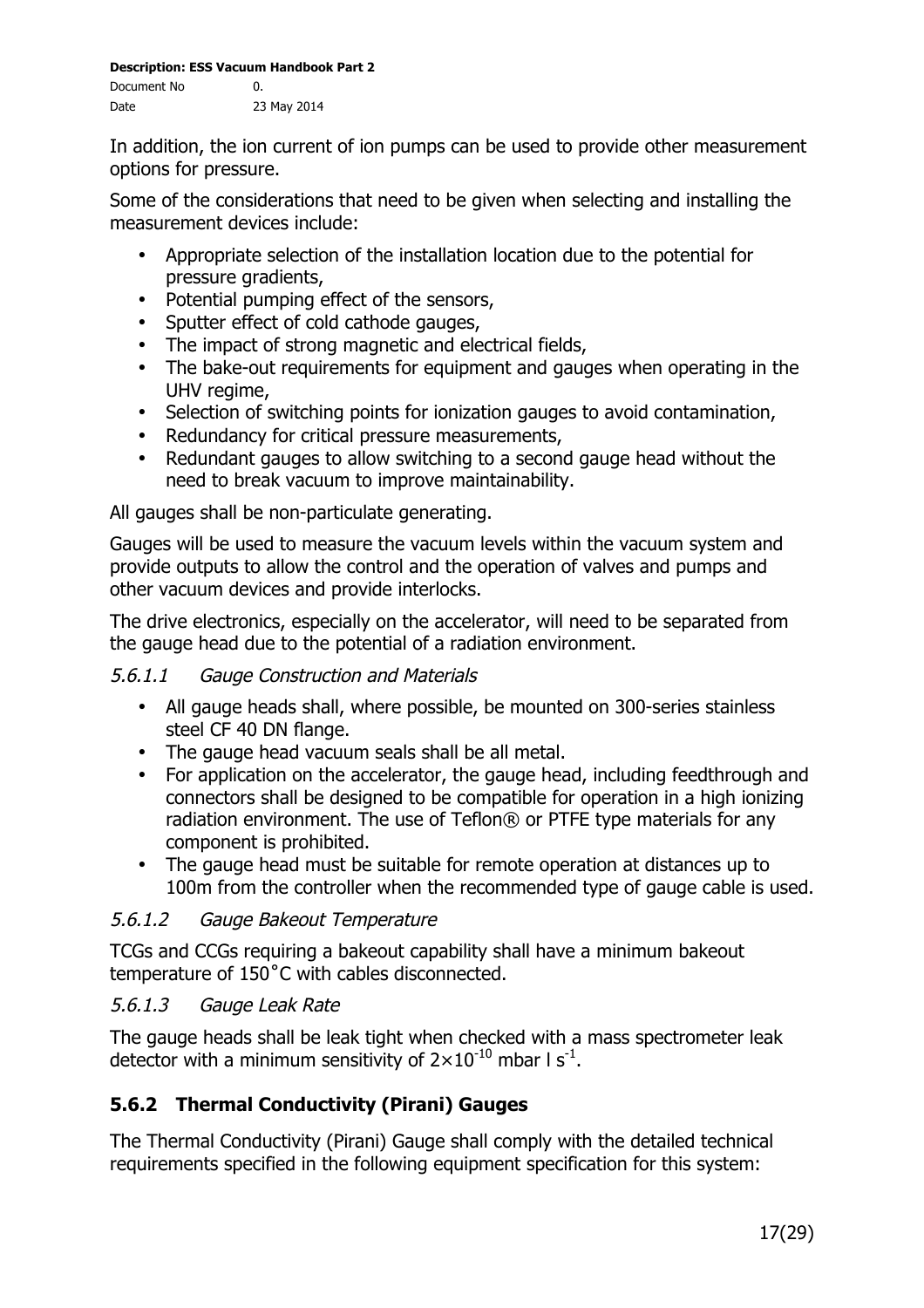In addition, the ion current of ion pumps can be used to provide other measurement options for pressure.

Some of the considerations that need to be given when selecting and installing the measurement devices include:

- Appropriate selection of the installation location due to the potential for pressure gradients,
- Potential pumping effect of the sensors,
- Sputter effect of cold cathode gauges,
- The impact of strong magnetic and electrical fields,
- The bake-out requirements for equipment and gauges when operating in the UHV regime,
- Selection of switching points for ionization gauges to avoid contamination,
- Redundancy for critical pressure measurements,
- Redundant gauges to allow switching to a second gauge head without the need to break vacuum to improve maintainability.

All gauges shall be non-particulate generating.

Gauges will be used to measure the vacuum levels within the vacuum system and provide outputs to allow the control and the operation of valves and pumps and other vacuum devices and provide interlocks.

The drive electronics, especially on the accelerator, will need to be separated from the gauge head due to the potential of a radiation environment.

#### 5.6.1.1 Gauge Construction and Materials

- All gauge heads shall, where possible, be mounted on 300-series stainless steel CF 40 DN flange.
- The gauge head vacuum seals shall be all metal.
- For application on the accelerator, the gauge head, including feedthrough and connectors shall be designed to be compatible for operation in a high ionizing radiation environment. The use of Teflon® or PTFE type materials for any component is prohibited.
- The gauge head must be suitable for remote operation at distances up to 100m from the controller when the recommended type of gauge cable is used.

#### 5.6.1.2 Gauge Bakeout Temperature

TCGs and CCGs requiring a bakeout capability shall have a minimum bakeout temperature of 150˚C with cables disconnected.

#### 5.6.1.3 Gauge Leak Rate

The gauge heads shall be leak tight when checked with a mass spectrometer leak detector with a minimum sensitivity of  $2\times10^{-10}$  mbar I s<sup>-1</sup>.

## **5.6.2 Thermal Conductivity (Pirani) Gauges**

The Thermal Conductivity (Pirani) Gauge shall comply with the detailed technical requirements specified in the following equipment specification for this system: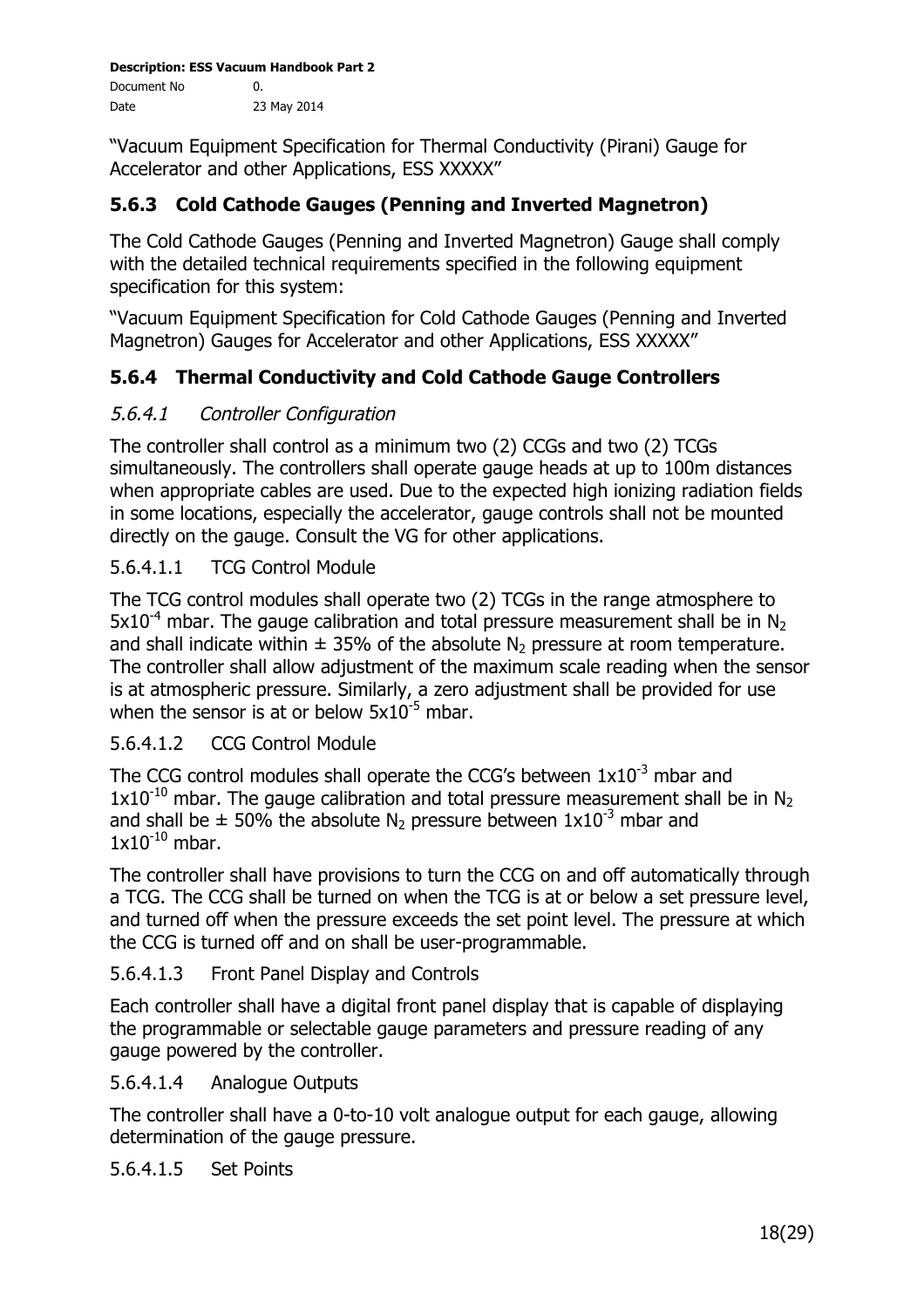"Vacuum Equipment Specification for Thermal Conductivity (Pirani) Gauge for Accelerator and other Applications, ESS XXXXX"

## **5.6.3 Cold Cathode Gauges (Penning and Inverted Magnetron)**

The Cold Cathode Gauges (Penning and Inverted Magnetron) Gauge shall comply with the detailed technical requirements specified in the following equipment specification for this system:

"Vacuum Equipment Specification for Cold Cathode Gauges (Penning and Inverted Magnetron) Gauges for Accelerator and other Applications, ESS XXXXX"

## **5.6.4 Thermal Conductivity and Cold Cathode Gauge Controllers**

#### 5.6.4.1 Controller Configuration

The controller shall control as a minimum two (2) CCGs and two (2) TCGs simultaneously. The controllers shall operate gauge heads at up to 100m distances when appropriate cables are used. Due to the expected high ionizing radiation fields in some locations, especially the accelerator, gauge controls shall not be mounted directly on the gauge. Consult the VG for other applications.

#### 5.6.4.1.1 TCG Control Module

The TCG control modules shall operate two (2) TCGs in the range atmosphere to  $5x10^{-4}$  mbar. The gauge calibration and total pressure measurement shall be in N<sub>2</sub> and shall indicate within  $\pm$  35% of the absolute N<sub>2</sub> pressure at room temperature. The controller shall allow adjustment of the maximum scale reading when the sensor is at atmospheric pressure. Similarly, a zero adjustment shall be provided for use when the sensor is at or below  $5x10^{-5}$  mbar.

#### 5.6.4.1.2 CCG Control Module

The CCG control modules shall operate the CCG's between  $1x10^{-3}$  mbar and  $1x10^{-10}$  mbar. The gauge calibration and total pressure measurement shall be in N<sub>2</sub> and shall be  $\pm$  50% the absolute N<sub>2</sub> pressure between  $1x10^{-3}$  mbar and  $1x10^{-10}$  mbar.

The controller shall have provisions to turn the CCG on and off automatically through a TCG. The CCG shall be turned on when the TCG is at or below a set pressure level, and turned off when the pressure exceeds the set point level. The pressure at which the CCG is turned off and on shall be user-programmable.

#### 5.6.4.1.3 Front Panel Display and Controls

Each controller shall have a digital front panel display that is capable of displaying the programmable or selectable gauge parameters and pressure reading of any gauge powered by the controller.

5.6.4.1.4 Analogue Outputs

The controller shall have a 0-to-10 volt analogue output for each gauge, allowing determination of the gauge pressure.

#### 5.6.4.1.5 Set Points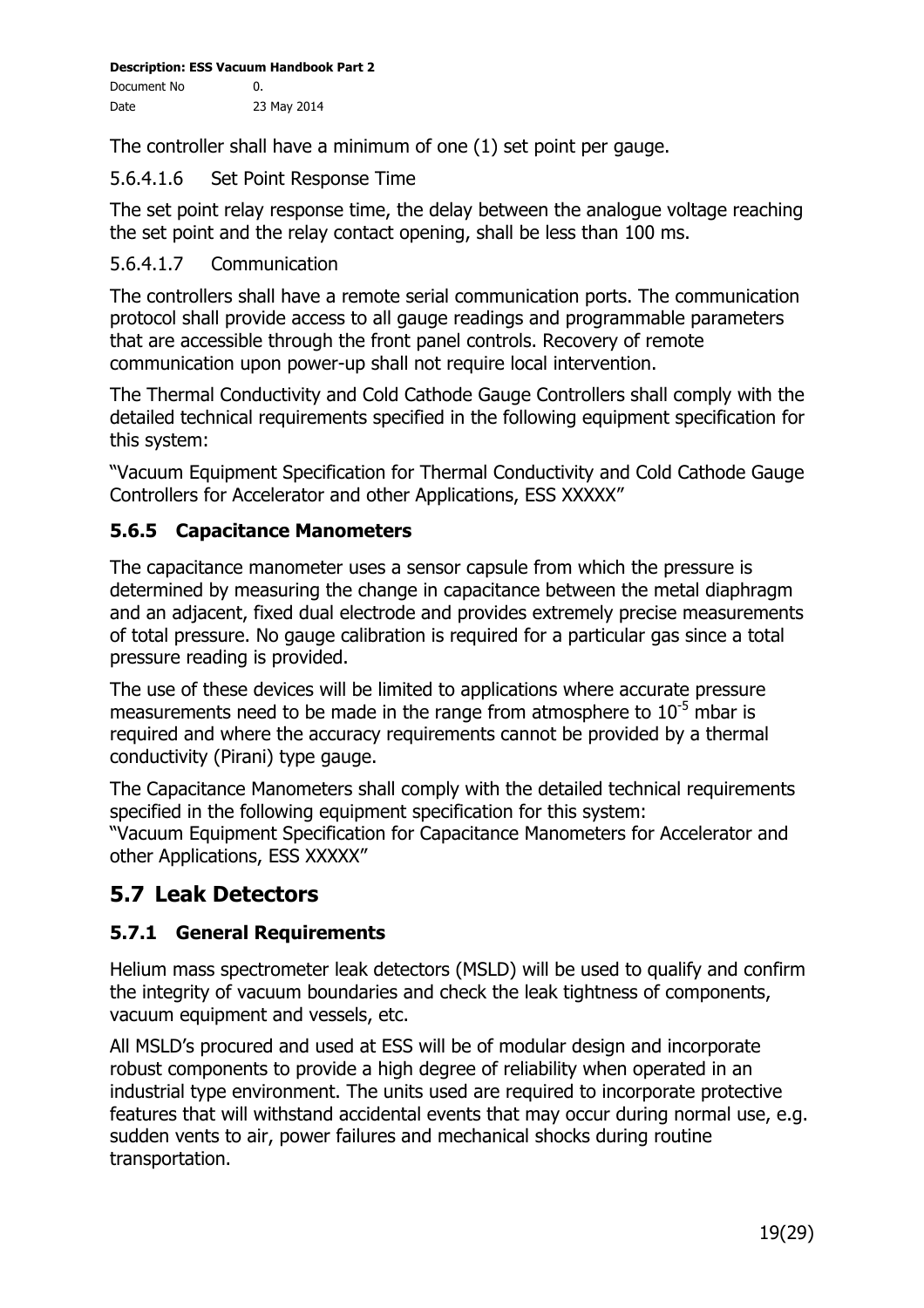The controller shall have a minimum of one (1) set point per gauge.

#### 5.6.4.1.6 Set Point Response Time

The set point relay response time, the delay between the analogue voltage reaching the set point and the relay contact opening, shall be less than 100 ms.

#### 5.6.4.1.7 Communication

The controllers shall have a remote serial communication ports. The communication protocol shall provide access to all gauge readings and programmable parameters that are accessible through the front panel controls. Recovery of remote communication upon power-up shall not require local intervention.

The Thermal Conductivity and Cold Cathode Gauge Controllers shall comply with the detailed technical requirements specified in the following equipment specification for this system:

"Vacuum Equipment Specification for Thermal Conductivity and Cold Cathode Gauge Controllers for Accelerator and other Applications, ESS XXXXX"

#### **5.6.5 Capacitance Manometers**

The capacitance manometer uses a sensor capsule from which the pressure is determined by measuring the change in capacitance between the metal diaphragm and an adjacent, fixed dual electrode and provides extremely precise measurements of total pressure. No gauge calibration is required for a particular gas since a total pressure reading is provided.

The use of these devices will be limited to applications where accurate pressure measurements need to be made in the range from atmosphere to  $10^{-5}$  mbar is required and where the accuracy requirements cannot be provided by a thermal conductivity (Pirani) type gauge.

The Capacitance Manometers shall comply with the detailed technical requirements specified in the following equipment specification for this system: "Vacuum Equipment Specification for Capacitance Manometers for Accelerator and other Applications, ESS XXXXX"

# **5.7 Leak Detectors**

#### **5.7.1 General Requirements**

Helium mass spectrometer leak detectors (MSLD) will be used to qualify and confirm the integrity of vacuum boundaries and check the leak tightness of components, vacuum equipment and vessels, etc.

All MSLD's procured and used at ESS will be of modular design and incorporate robust components to provide a high degree of reliability when operated in an industrial type environment. The units used are required to incorporate protective features that will withstand accidental events that may occur during normal use, e.g. sudden vents to air, power failures and mechanical shocks during routine transportation.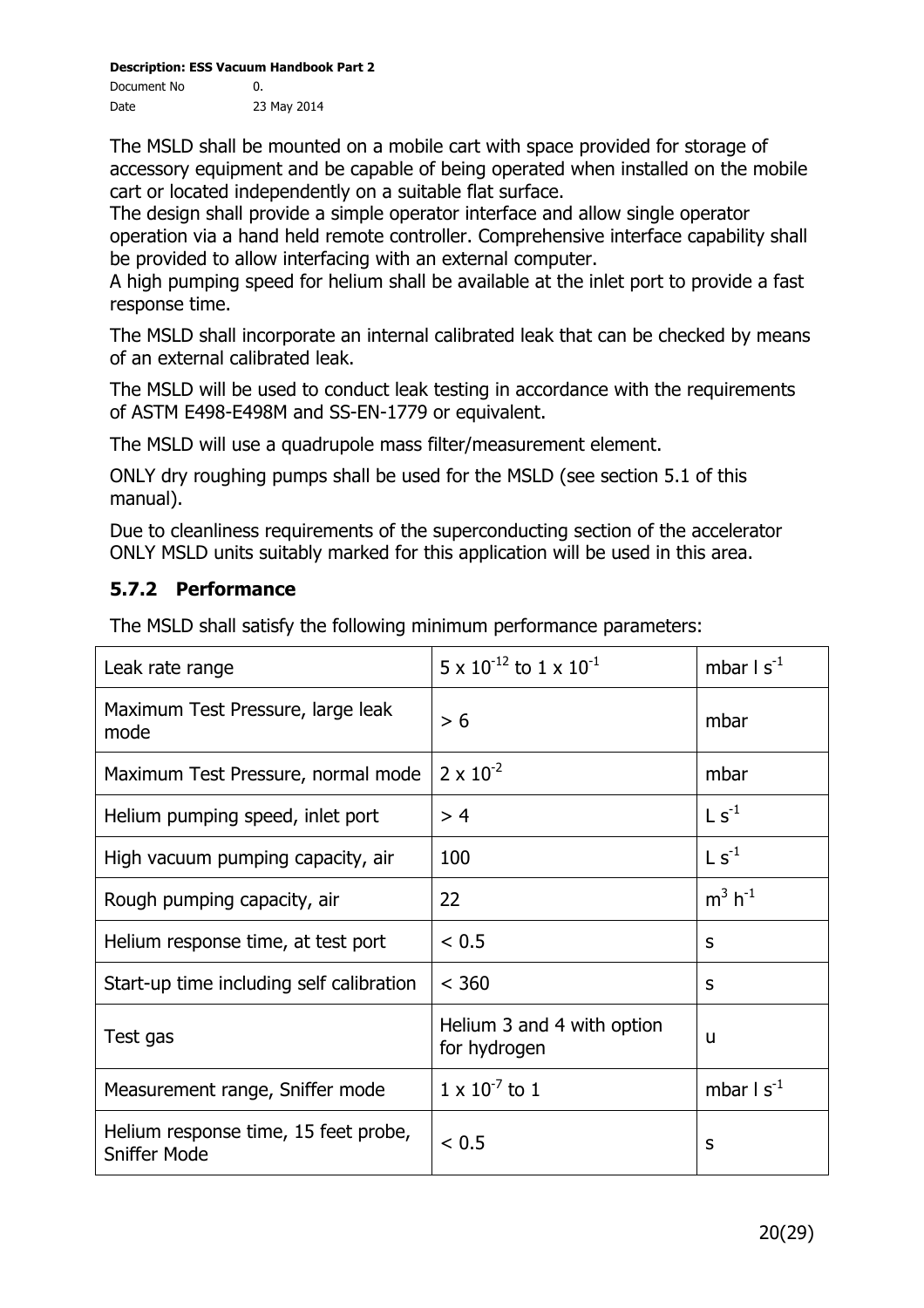The MSLD shall be mounted on a mobile cart with space provided for storage of accessory equipment and be capable of being operated when installed on the mobile cart or located independently on a suitable flat surface.

The design shall provide a simple operator interface and allow single operator operation via a hand held remote controller. Comprehensive interface capability shall be provided to allow interfacing with an external computer.

A high pumping speed for helium shall be available at the inlet port to provide a fast response time.

The MSLD shall incorporate an internal calibrated leak that can be checked by means of an external calibrated leak.

The MSLD will be used to conduct leak testing in accordance with the requirements of ASTM E498-E498M and SS-EN-1779 or equivalent.

The MSLD will use a quadrupole mass filter/measurement element.

ONLY dry roughing pumps shall be used for the MSLD (see section 5.1 of this manual).

Due to cleanliness requirements of the superconducting section of the accelerator ONLY MSLD units suitably marked for this application will be used in this area.

#### **5.7.2 Performance**

The MSLD shall satisfy the following minimum performance parameters:

| Leak rate range                                             | $5 \times 10^{-12}$ to $1 \times 10^{-1}$  | mbar $1 s^{-1}$              |
|-------------------------------------------------------------|--------------------------------------------|------------------------------|
| Maximum Test Pressure, large leak<br>mode                   | > 6                                        | mbar                         |
| Maximum Test Pressure, normal mode                          | $2 \times 10^{-2}$                         | mbar                         |
| Helium pumping speed, inlet port                            | > 4                                        | $\mathsf{L}$ s <sup>-1</sup> |
| High vacuum pumping capacity, air                           | 100                                        | $\mathsf{L}$ s <sup>-1</sup> |
| Rough pumping capacity, air                                 | 22                                         | $m^3 h^{-1}$                 |
| Helium response time, at test port                          | < 0.5                                      | S                            |
| Start-up time including self calibration                    | < 360                                      | S                            |
| Test gas                                                    | Helium 3 and 4 with option<br>for hydrogen | u                            |
| Measurement range, Sniffer mode                             | $1 \times 10^{-7}$ to 1                    | mbar $1 s^{-1}$              |
| Helium response time, 15 feet probe,<br><b>Sniffer Mode</b> | < 0.5                                      | S                            |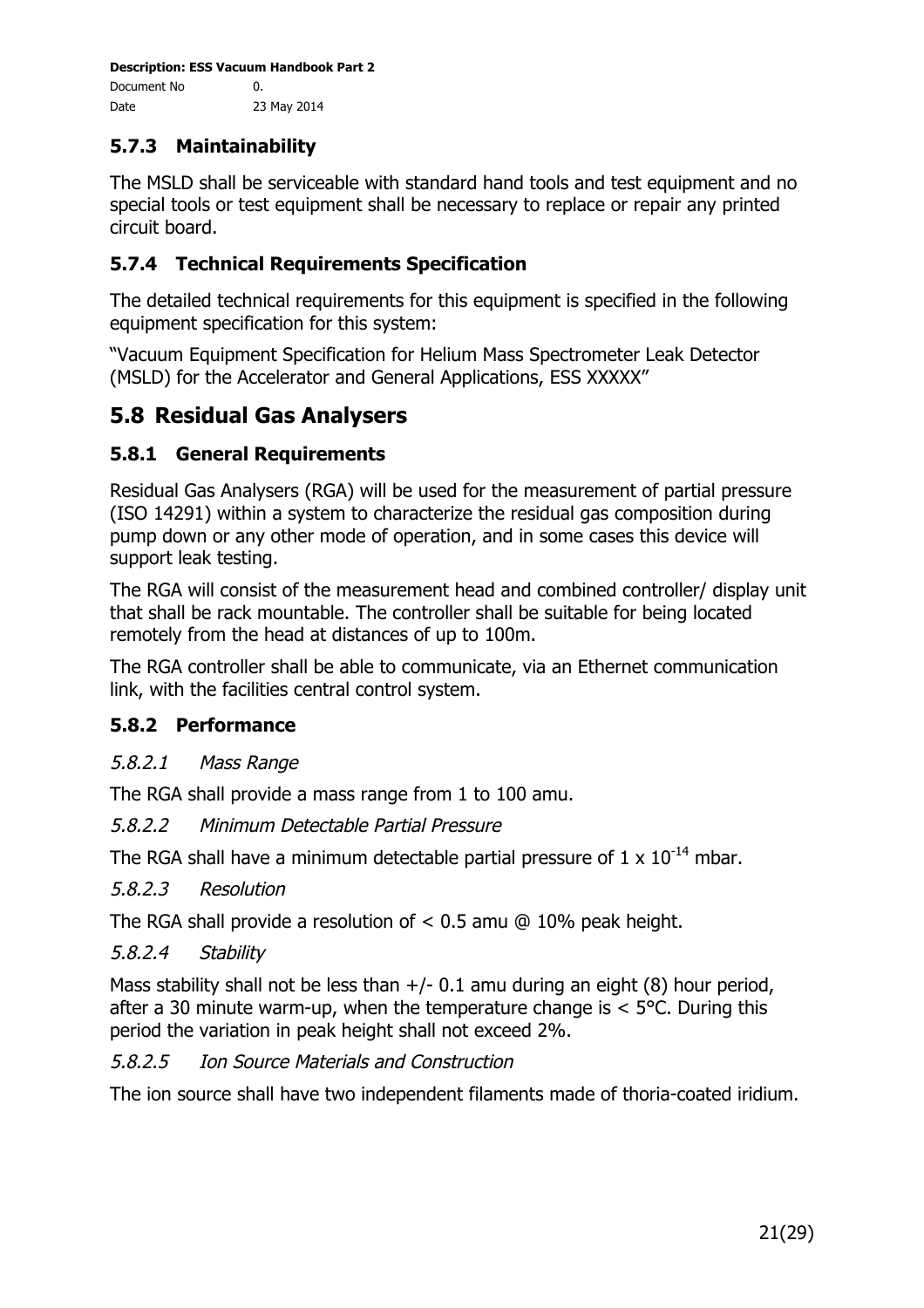# **5.7.3 Maintainability**

The MSLD shall be serviceable with standard hand tools and test equipment and no special tools or test equipment shall be necessary to replace or repair any printed circuit board.

#### **5.7.4 Technical Requirements Specification**

The detailed technical requirements for this equipment is specified in the following equipment specification for this system:

"Vacuum Equipment Specification for Helium Mass Spectrometer Leak Detector (MSLD) for the Accelerator and General Applications, ESS XXXXX"

# **5.8 Residual Gas Analysers**

#### **5.8.1 General Requirements**

Residual Gas Analysers (RGA) will be used for the measurement of partial pressure (ISO 14291) within a system to characterize the residual gas composition during pump down or any other mode of operation, and in some cases this device will support leak testing.

The RGA will consist of the measurement head and combined controller/ display unit that shall be rack mountable. The controller shall be suitable for being located remotely from the head at distances of up to 100m.

The RGA controller shall be able to communicate, via an Ethernet communication link, with the facilities central control system.

#### **5.8.2 Performance**

#### 5.8.2.1 Mass Range

The RGA shall provide a mass range from 1 to 100 amu.

#### 5.8.2.2 Minimum Detectable Partial Pressure

The RGA shall have a minimum detectable partial pressure of  $1 \times 10^{-14}$  mbar.

#### 5.8.2.3 Resolution

The RGA shall provide a resolution of < 0.5 amu @ 10% peak height.

#### 5.8.2.4 Stability

Mass stability shall not be less than  $+/- 0.1$  amu during an eight (8) hour period, after a 30 minute warm-up, when the temperature change is  $<$  5°C. During this period the variation in peak height shall not exceed 2%.

#### 5.8.2.5 Ion Source Materials and Construction

The ion source shall have two independent filaments made of thoria-coated iridium.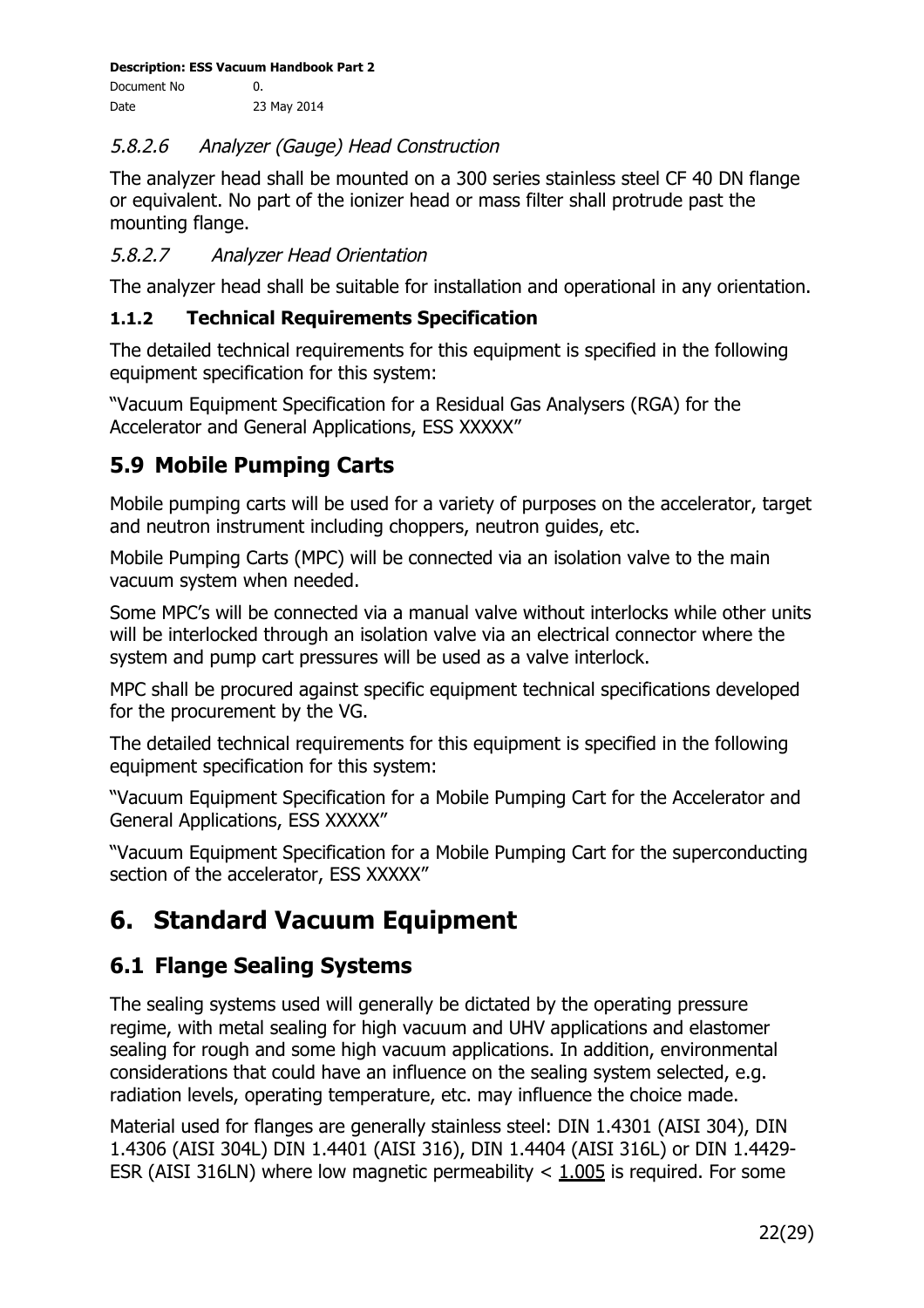#### 5.8.2.6 Analyzer (Gauge) Head Construction

The analyzer head shall be mounted on a 300 series stainless steel CF 40 DN flange or equivalent. No part of the ionizer head or mass filter shall protrude past the mounting flange.

#### 5.8.2.7 Analyzer Head Orientation

The analyzer head shall be suitable for installation and operational in any orientation.

#### **1.1.2 Technical Requirements Specification**

The detailed technical requirements for this equipment is specified in the following equipment specification for this system:

"Vacuum Equipment Specification for a Residual Gas Analysers (RGA) for the Accelerator and General Applications, ESS XXXXX"

# **5.9 Mobile Pumping Carts**

Mobile pumping carts will be used for a variety of purposes on the accelerator, target and neutron instrument including choppers, neutron guides, etc.

Mobile Pumping Carts (MPC) will be connected via an isolation valve to the main vacuum system when needed.

Some MPC's will be connected via a manual valve without interlocks while other units will be interlocked through an isolation valve via an electrical connector where the system and pump cart pressures will be used as a valve interlock.

MPC shall be procured against specific equipment technical specifications developed for the procurement by the VG.

The detailed technical requirements for this equipment is specified in the following equipment specification for this system:

"Vacuum Equipment Specification for a Mobile Pumping Cart for the Accelerator and General Applications, ESS XXXXX"

"Vacuum Equipment Specification for a Mobile Pumping Cart for the superconducting section of the accelerator, ESS XXXXX"

# **6. Standard Vacuum Equipment**

# **6.1 Flange Sealing Systems**

The sealing systems used will generally be dictated by the operating pressure regime, with metal sealing for high vacuum and UHV applications and elastomer sealing for rough and some high vacuum applications. In addition, environmental considerations that could have an influence on the sealing system selected, e.g. radiation levels, operating temperature, etc. may influence the choice made.

Material used for flanges are generally stainless steel: DIN 1.4301 (AISI 304), DIN 1.4306 (AISI 304L) DIN 1.4401 (AISI 316), DIN 1.4404 (AISI 316L) or DIN 1.4429- ESR (AISI 316LN) where low magnetic permeability < 1.005 is required. For some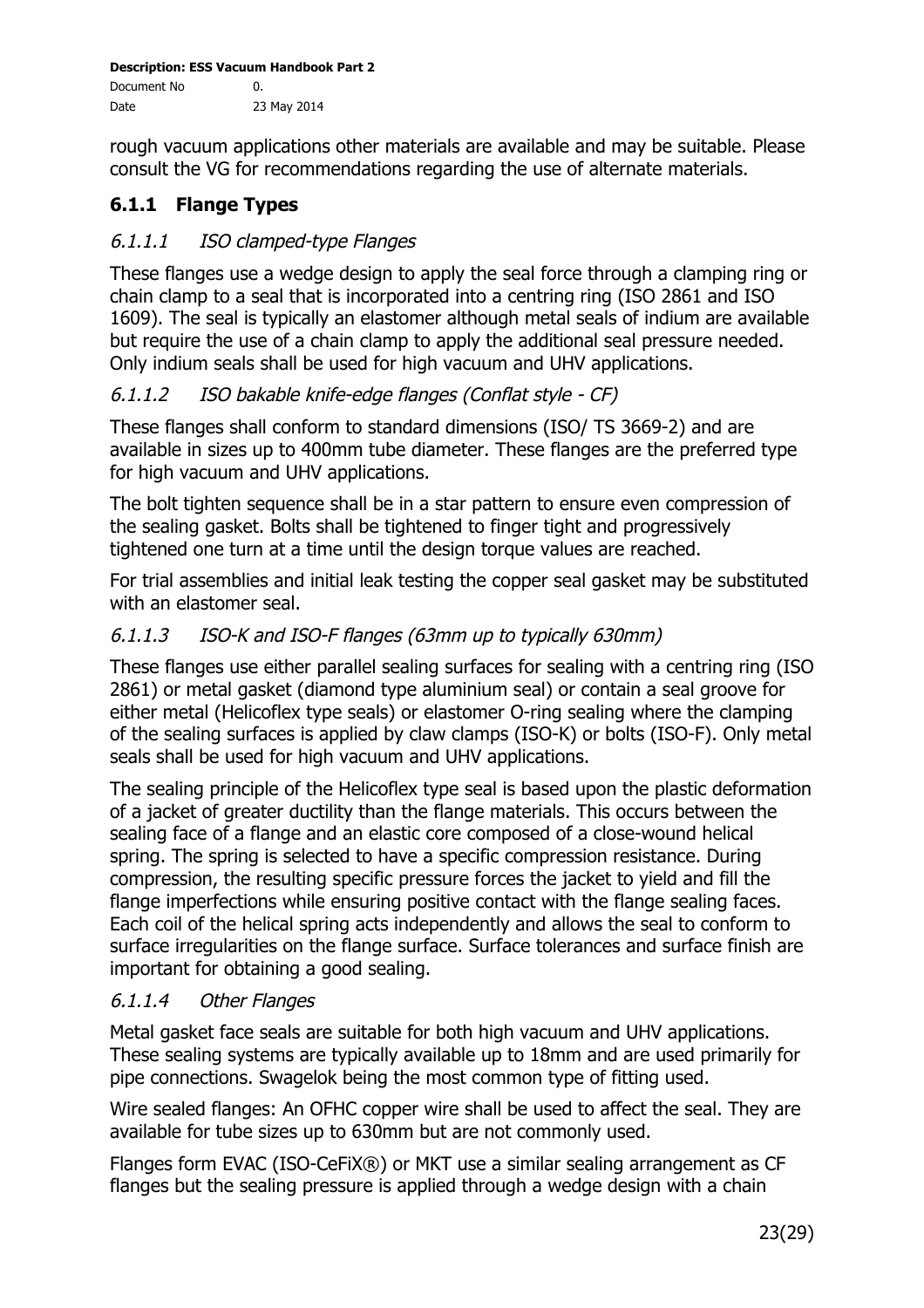rough vacuum applications other materials are available and may be suitable. Please consult the VG for recommendations regarding the use of alternate materials.

# **6.1.1 Flange Types**

#### 6.1.1.1 ISO clamped-type Flanges

These flanges use a wedge design to apply the seal force through a clamping ring or chain clamp to a seal that is incorporated into a centring ring (ISO 2861 and ISO 1609). The seal is typically an elastomer although metal seals of indium are available but require the use of a chain clamp to apply the additional seal pressure needed. Only indium seals shall be used for high vacuum and UHV applications.

#### 6.1.1.2 ISO bakable knife-edge flanges (Conflat style - CF)

These flanges shall conform to standard dimensions (ISO/ TS 3669-2) and are available in sizes up to 400mm tube diameter. These flanges are the preferred type for high vacuum and UHV applications.

The bolt tighten sequence shall be in a star pattern to ensure even compression of the sealing gasket. Bolts shall be tightened to finger tight and progressively tightened one turn at a time until the design torque values are reached.

For trial assemblies and initial leak testing the copper seal gasket may be substituted with an elastomer seal.

## 6.1.1.3 ISO-K and ISO-F flanges (63mm up to typically 630mm)

These flanges use either parallel sealing surfaces for sealing with a centring ring (ISO 2861) or metal gasket (diamond type aluminium seal) or contain a seal groove for either metal (Helicoflex type seals) or elastomer O-ring sealing where the clamping of the sealing surfaces is applied by claw clamps (ISO-K) or bolts (ISO-F). Only metal seals shall be used for high vacuum and UHV applications.

The sealing principle of the Helicoflex type seal is based upon the plastic deformation of a jacket of greater ductility than the flange materials. This occurs between the sealing face of a flange and an elastic core composed of a close-wound helical spring. The spring is selected to have a specific compression resistance. During compression, the resulting specific pressure forces the jacket to yield and fill the flange imperfections while ensuring positive contact with the flange sealing faces. Each coil of the helical spring acts independently and allows the seal to conform to surface irregularities on the flange surface. Surface tolerances and surface finish are important for obtaining a good sealing.

#### 6.1.1.4 Other Flanges

Metal gasket face seals are suitable for both high vacuum and UHV applications. These sealing systems are typically available up to 18mm and are used primarily for pipe connections. Swagelok being the most common type of fitting used.

Wire sealed flanges: An OFHC copper wire shall be used to affect the seal. They are available for tube sizes up to 630mm but are not commonly used.

Flanges form EVAC (ISO-CeFiX®) or MKT use a similar sealing arrangement as CF flanges but the sealing pressure is applied through a wedge design with a chain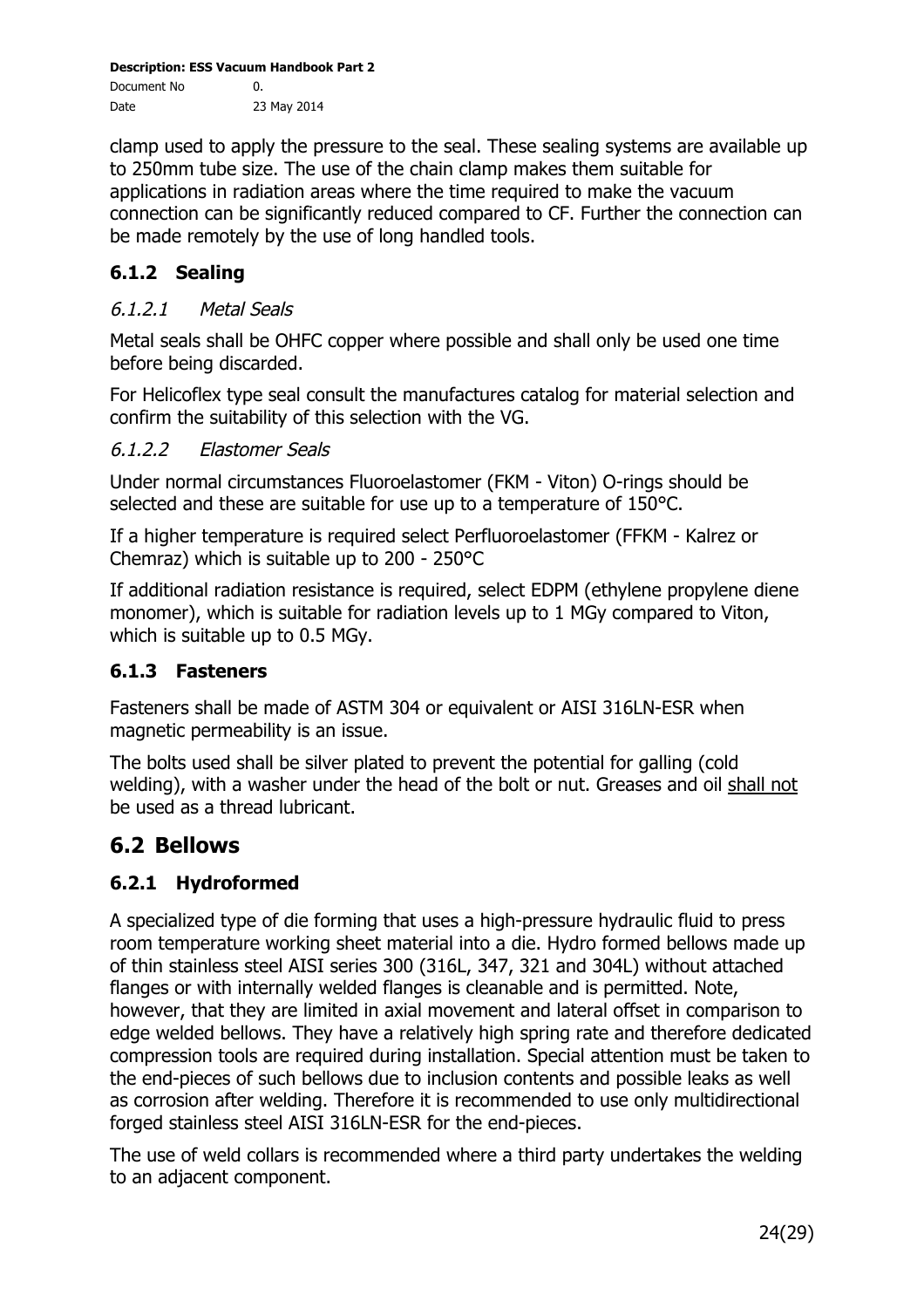clamp used to apply the pressure to the seal. These sealing systems are available up to 250mm tube size. The use of the chain clamp makes them suitable for applications in radiation areas where the time required to make the vacuum connection can be significantly reduced compared to CF. Further the connection can be made remotely by the use of long handled tools.

#### **6.1.2 Sealing**

#### 6.1.2.1 Metal Seals

Metal seals shall be OHFC copper where possible and shall only be used one time before being discarded.

For Helicoflex type seal consult the manufactures catalog for material selection and confirm the suitability of this selection with the VG.

#### 6.1.2.2 Elastomer Seals

Under normal circumstances Fluoroelastomer (FKM - Viton) O-rings should be selected and these are suitable for use up to a temperature of 150°C.

If a higher temperature is required select Perfluoroelastomer (FFKM - Kalrez or Chemraz) which is suitable up to 200 - 250°C

If additional radiation resistance is required, select EDPM (ethylene propylene diene monomer), which is suitable for radiation levels up to 1 MGy compared to Viton, which is suitable up to 0.5 MGy.

#### **6.1.3 Fasteners**

Fasteners shall be made of ASTM 304 or equivalent or AISI 316LN-ESR when magnetic permeability is an issue.

The bolts used shall be silver plated to prevent the potential for galling (cold welding), with a washer under the head of the bolt or nut. Greases and oil shall not be used as a thread lubricant.

## **6.2 Bellows**

#### **6.2.1 Hydroformed**

A specialized type of die forming that uses a high-pressure hydraulic fluid to press room temperature working sheet material into a die. Hydro formed bellows made up of thin stainless steel AISI series 300 (316L, 347, 321 and 304L) without attached flanges or with internally welded flanges is cleanable and is permitted. Note, however, that they are limited in axial movement and lateral offset in comparison to edge welded bellows. They have a relatively high spring rate and therefore dedicated compression tools are required during installation. Special attention must be taken to the end-pieces of such bellows due to inclusion contents and possible leaks as well as corrosion after welding. Therefore it is recommended to use only multidirectional forged stainless steel AISI 316LN-ESR for the end-pieces.

The use of weld collars is recommended where a third party undertakes the welding to an adjacent component.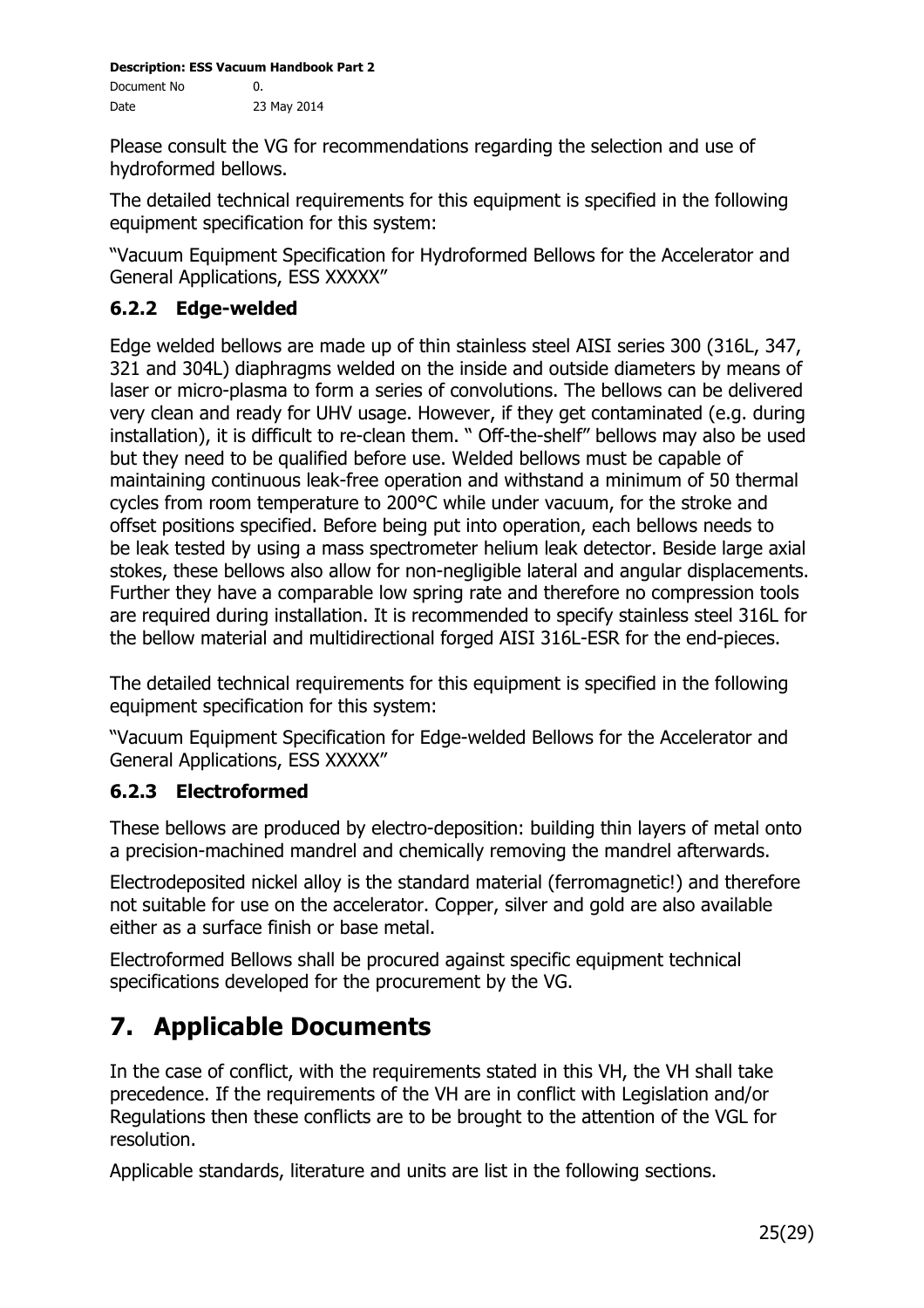Please consult the VG for recommendations regarding the selection and use of hydroformed bellows.

The detailed technical requirements for this equipment is specified in the following equipment specification for this system:

"Vacuum Equipment Specification for Hydroformed Bellows for the Accelerator and General Applications, ESS XXXXX"

# **6.2.2 Edge-welded**

Edge welded bellows are made up of thin stainless steel AISI series 300 (316L, 347, 321 and 304L) diaphragms welded on the inside and outside diameters by means of laser or micro-plasma to form a series of convolutions. The bellows can be delivered very clean and ready for UHV usage. However, if they get contaminated (e.g. during installation), it is difficult to re-clean them. " Off-the-shelf" bellows may also be used but they need to be qualified before use. Welded bellows must be capable of maintaining continuous leak-free operation and withstand a minimum of 50 thermal cycles from room temperature to 200°C while under vacuum, for the stroke and offset positions specified. Before being put into operation, each bellows needs to be leak tested by using a mass spectrometer helium leak detector. Beside large axial stokes, these bellows also allow for non-negligible lateral and angular displacements. Further they have a comparable low spring rate and therefore no compression tools are required during installation. It is recommended to specify stainless steel 316L for the bellow material and multidirectional forged AISI 316L-ESR for the end-pieces.

The detailed technical requirements for this equipment is specified in the following equipment specification for this system:

"Vacuum Equipment Specification for Edge-welded Bellows for the Accelerator and General Applications, ESS XXXXX"

## **6.2.3 Electroformed**

These bellows are produced by electro-deposition: building thin layers of metal onto a precision-machined mandrel and chemically removing the mandrel afterwards.

Electrodeposited nickel alloy is the standard material (ferromagnetic!) and therefore not suitable for use on the accelerator. Copper, silver and gold are also available either as a surface finish or base metal.

Electroformed Bellows shall be procured against specific equipment technical specifications developed for the procurement by the VG.

# **7. Applicable Documents**

In the case of conflict, with the requirements stated in this VH, the VH shall take precedence. If the requirements of the VH are in conflict with Legislation and/or Regulations then these conflicts are to be brought to the attention of the VGL for resolution.

Applicable standards, literature and units are list in the following sections.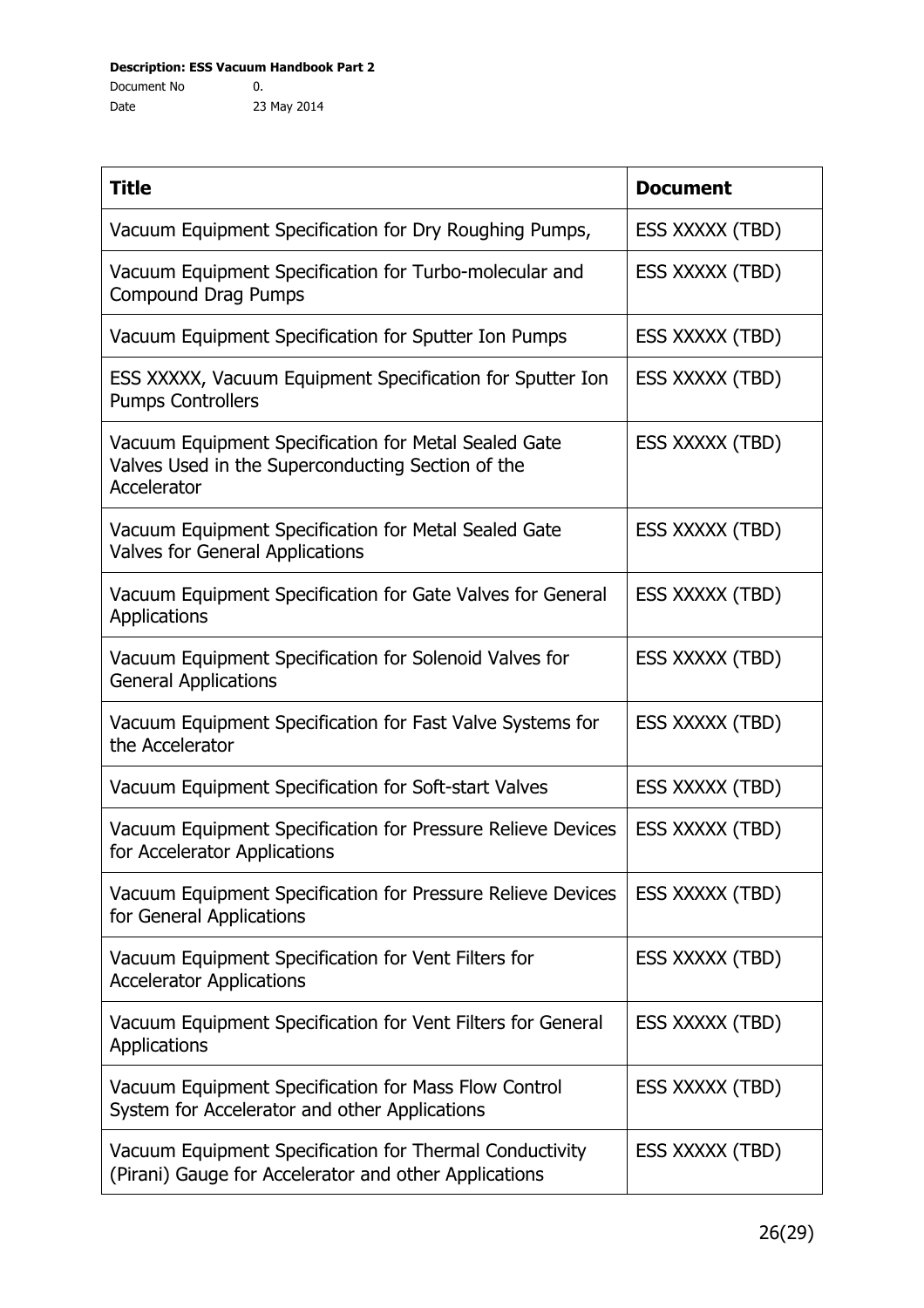| <b>Title</b>                                                                                                             | <b>Document</b> |
|--------------------------------------------------------------------------------------------------------------------------|-----------------|
| Vacuum Equipment Specification for Dry Roughing Pumps,                                                                   | ESS XXXXX (TBD) |
| Vacuum Equipment Specification for Turbo-molecular and<br><b>Compound Drag Pumps</b>                                     | ESS XXXXX (TBD) |
| Vacuum Equipment Specification for Sputter Ion Pumps                                                                     | ESS XXXXX (TBD) |
| ESS XXXXX, Vacuum Equipment Specification for Sputter Ion<br><b>Pumps Controllers</b>                                    | ESS XXXXX (TBD) |
| Vacuum Equipment Specification for Metal Sealed Gate<br>Valves Used in the Superconducting Section of the<br>Accelerator | ESS XXXXX (TBD) |
| Vacuum Equipment Specification for Metal Sealed Gate<br><b>Valves for General Applications</b>                           | ESS XXXXX (TBD) |
| Vacuum Equipment Specification for Gate Valves for General<br>Applications                                               | ESS XXXXX (TBD) |
| Vacuum Equipment Specification for Solenoid Valves for<br><b>General Applications</b>                                    | ESS XXXXX (TBD) |
| Vacuum Equipment Specification for Fast Valve Systems for<br>the Accelerator                                             | ESS XXXXX (TBD) |
| Vacuum Equipment Specification for Soft-start Valves                                                                     | ESS XXXXX (TBD) |
| Vacuum Equipment Specification for Pressure Relieve Devices<br>for Accelerator Applications                              | ESS XXXXX (TBD) |
| Vacuum Equipment Specification for Pressure Relieve Devices<br>for General Applications                                  | ESS XXXXX (TBD) |
| Vacuum Equipment Specification for Vent Filters for<br><b>Accelerator Applications</b>                                   | ESS XXXXX (TBD) |
| Vacuum Equipment Specification for Vent Filters for General<br>Applications                                              | ESS XXXXX (TBD) |
| Vacuum Equipment Specification for Mass Flow Control<br>System for Accelerator and other Applications                    | ESS XXXXX (TBD) |
| Vacuum Equipment Specification for Thermal Conductivity<br>(Pirani) Gauge for Accelerator and other Applications         | ESS XXXXX (TBD) |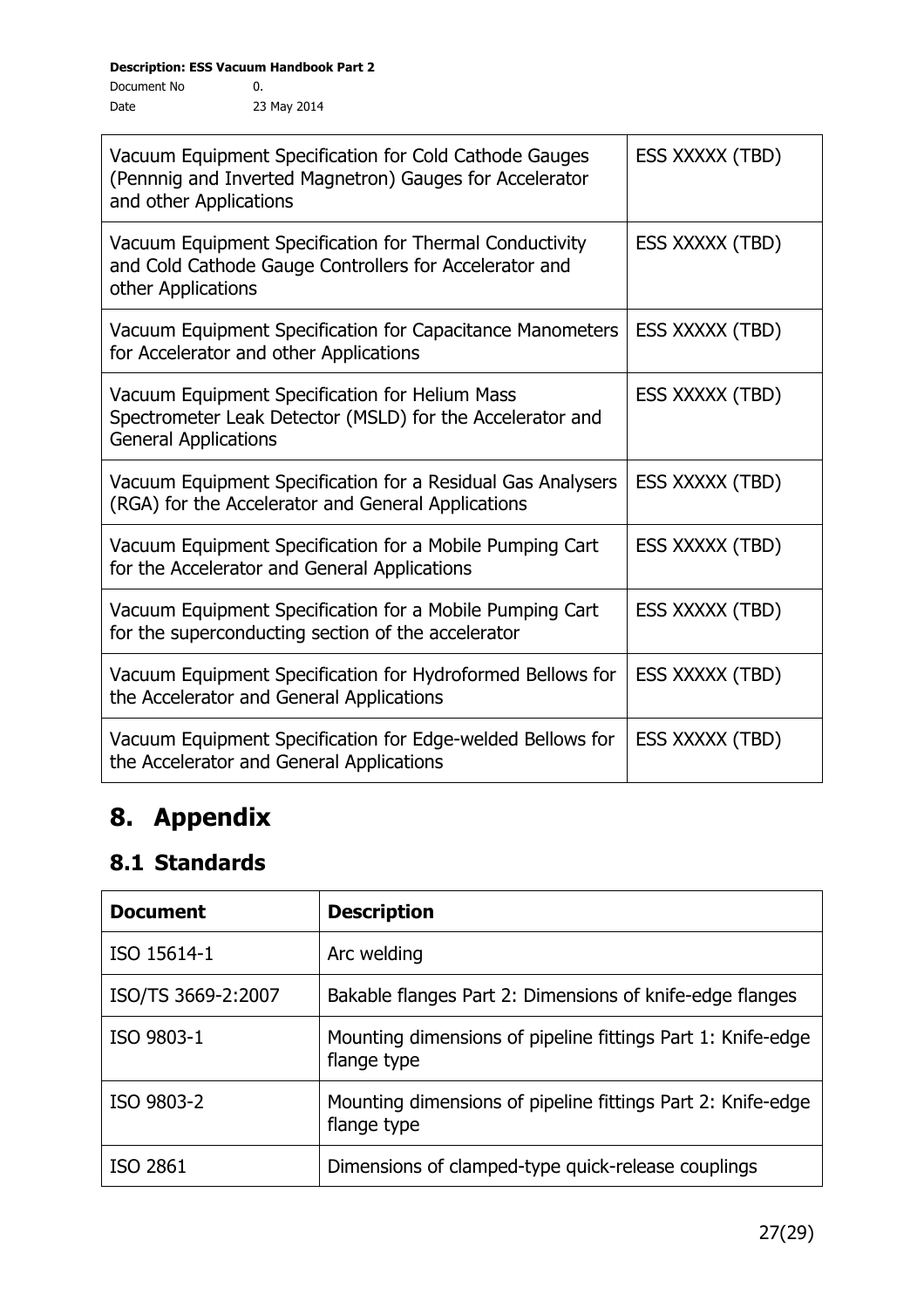| Vacuum Equipment Specification for Cold Cathode Gauges<br>(Pennnig and Inverted Magnetron) Gauges for Accelerator<br>and other Applications | ESS XXXXX (TBD) |
|---------------------------------------------------------------------------------------------------------------------------------------------|-----------------|
| Vacuum Equipment Specification for Thermal Conductivity<br>and Cold Cathode Gauge Controllers for Accelerator and<br>other Applications     | ESS XXXXX (TBD) |
| Vacuum Equipment Specification for Capacitance Manometers<br>for Accelerator and other Applications                                         | ESS XXXXX (TBD) |
| Vacuum Equipment Specification for Helium Mass<br>Spectrometer Leak Detector (MSLD) for the Accelerator and<br><b>General Applications</b>  | ESS XXXXX (TBD) |
| Vacuum Equipment Specification for a Residual Gas Analysers<br>(RGA) for the Accelerator and General Applications                           | ESS XXXXX (TBD) |
| Vacuum Equipment Specification for a Mobile Pumping Cart<br>for the Accelerator and General Applications                                    | ESS XXXXX (TBD) |
| Vacuum Equipment Specification for a Mobile Pumping Cart<br>for the superconducting section of the accelerator                              | ESS XXXXX (TBD) |
| Vacuum Equipment Specification for Hydroformed Bellows for<br>the Accelerator and General Applications                                      | ESS XXXXX (TBD) |
| Vacuum Equipment Specification for Edge-welded Bellows for<br>the Accelerator and General Applications                                      | ESS XXXXX (TBD) |

# **8. Appendix**

# **8.1 Standards**

| <b>Document</b>    | <b>Description</b>                                                         |
|--------------------|----------------------------------------------------------------------------|
| ISO 15614-1        | Arc welding                                                                |
| ISO/TS 3669-2:2007 | Bakable flanges Part 2: Dimensions of knife-edge flanges                   |
| ISO 9803-1         | Mounting dimensions of pipeline fittings Part 1: Knife-edge<br>flange type |
| ISO 9803-2         | Mounting dimensions of pipeline fittings Part 2: Knife-edge<br>flange type |
| ISO 2861           | Dimensions of clamped-type quick-release couplings                         |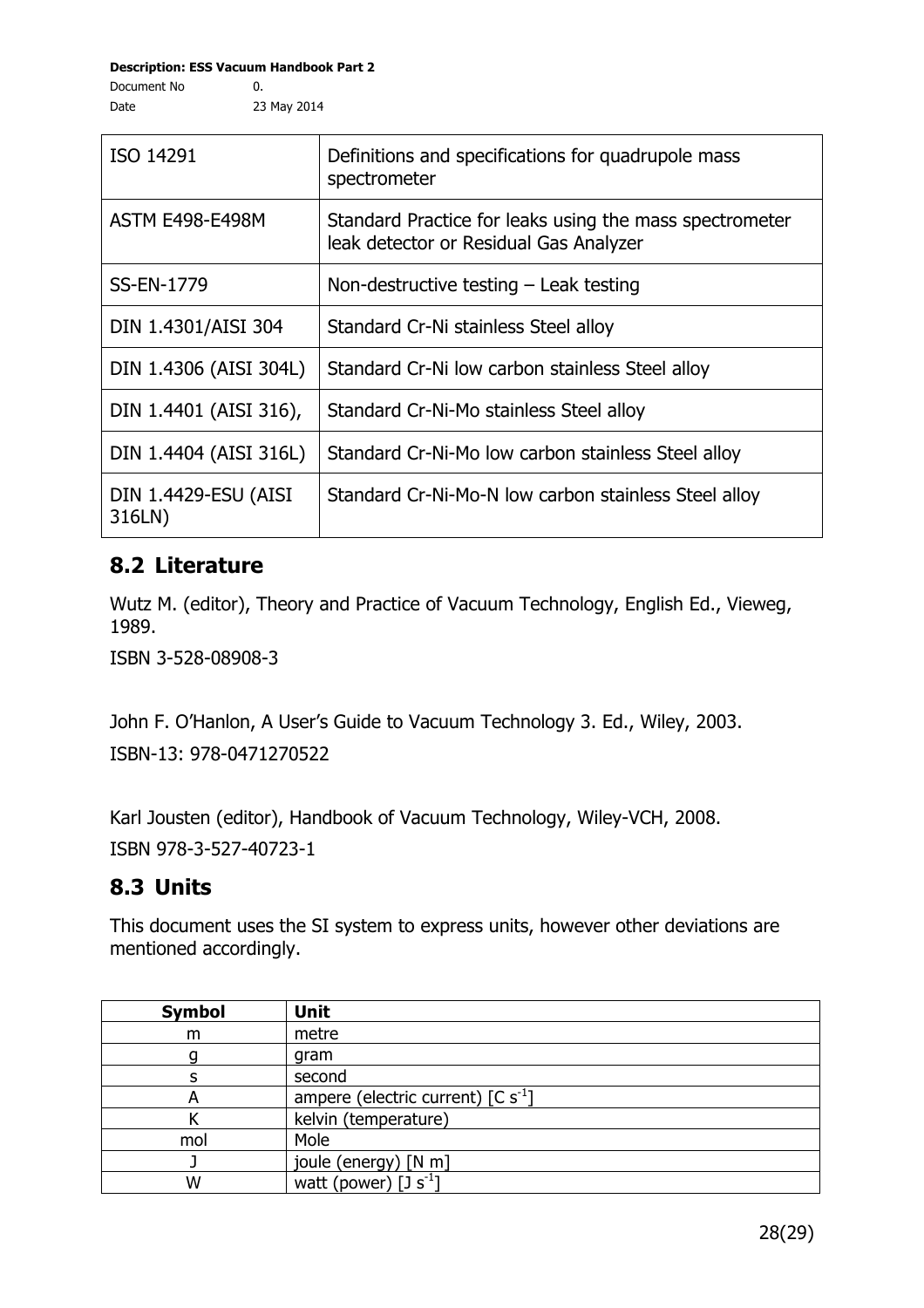**Description: ESS Vacuum Handbook Part 2** Document No  $\qquad \qquad 0.$ 

Date

| ISO 14291                      | Definitions and specifications for quadrupole mass<br>spectrometer                                |
|--------------------------------|---------------------------------------------------------------------------------------------------|
| <b>ASTM E498-E498M</b>         | Standard Practice for leaks using the mass spectrometer<br>leak detector or Residual Gas Analyzer |
| <b>SS-EN-1779</b>              | Non-destructive testing $-$ Leak testing                                                          |
| DIN 1.4301/AISI 304            | Standard Cr-Ni stainless Steel alloy                                                              |
| DIN 1.4306 (AISI 304L)         | Standard Cr-Ni low carbon stainless Steel alloy                                                   |
| DIN 1.4401 (AISI 316),         | Standard Cr-Ni-Mo stainless Steel alloy                                                           |
| DIN 1.4404 (AISI 316L)         | Standard Cr-Ni-Mo low carbon stainless Steel alloy                                                |
| DIN 1.4429-ESU (AISI<br>316LN) | Standard Cr-Ni-Mo-N low carbon stainless Steel alloy                                              |

# **8.2 Literature**

Wutz M. (editor), Theory and Practice of Vacuum Technology, English Ed., Vieweg, 1989.

ISBN 3-528-08908-3

John F. O'Hanlon, A User's Guide to Vacuum Technology 3. Ed., Wiley, 2003. ISBN-13: 978-0471270522

Karl Jousten (editor), Handbook of Vacuum Technology, Wiley-VCH, 2008. ISBN 978-3-527-40723-1

# **8.3 Units**

This document uses the SI system to express units, however other deviations are mentioned accordingly.

| <b>Symbol</b> | <b>Unit</b>                                   |
|---------------|-----------------------------------------------|
| m             | metre                                         |
|               | gram                                          |
|               | second                                        |
|               | ampere (electric current) $[C s^{-1}]$        |
|               | kelvin (temperature)                          |
| mol           | Mole                                          |
|               | joule (energy) [N m]                          |
| w             | watt (power) $\lceil 3 \text{ s}^{-1} \rceil$ |